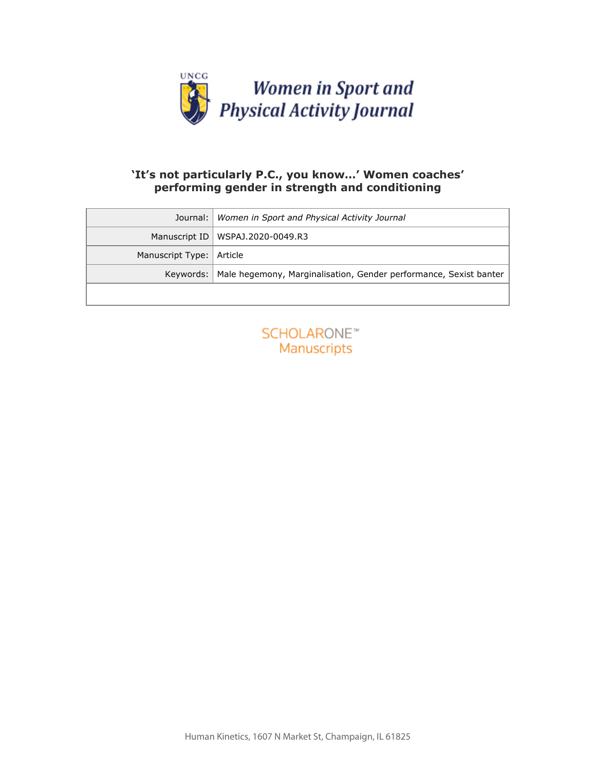

## **'It's not particularly P.C., you know…' Women coaches' performing gender in strength and conditioning**

| Journal:         | Women in Sport and Physical Activity Journal                      |
|------------------|-------------------------------------------------------------------|
| Manuscript ID    | WSPAJ.2020-0049.R3                                                |
| Manuscript Type: | Article                                                           |
| Keywords:        | Male hegemony, Marginalisation, Gender performance, Sexist banter |
|                  |                                                                   |
|                  | <b>SCHOLARONE™</b><br>Manuscripts                                 |

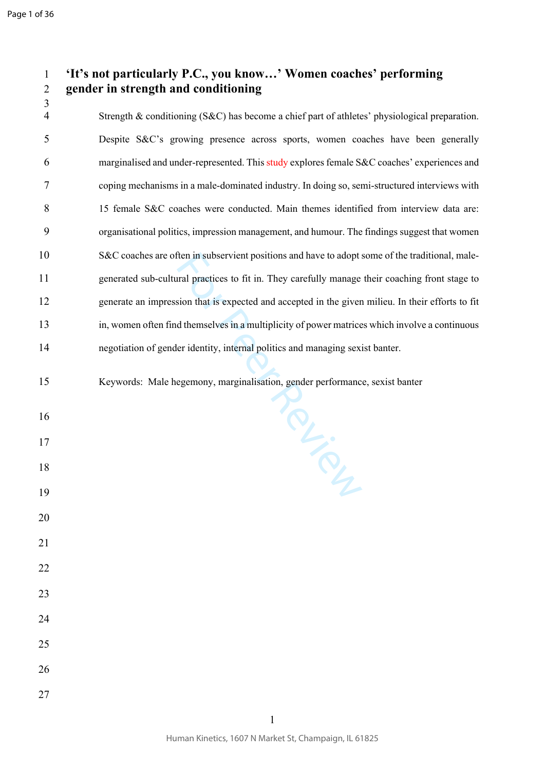## **'It's not particularly P.C., you know…' Women coaches' performing gender in strength and conditioning**

 Strength & conditioning (S&C) has become a chief part of athletes' physiological preparation. Despite S&C's growing presence across sports, women coaches have been generally marginalised and under-represented. This study explores female S&C coaches' experiences and coping mechanisms in a male-dominated industry. In doing so, semi-structured interviews with 15 female S&C coaches were conducted. Main themes identified from interview data are: organisational politics, impression management, and humour. The findings suggest that women S&C coaches are often in subservient positions and have to adopt some of the traditional, male- generated sub-cultural practices to fit in. They carefully manage their coaching front stage to generate an impression that is expected and accepted in the given milieu. In their efforts to fit in, women often find themselves in a multiplicity of power matrices which involve a continuous negotiation of gender identity, internal politics and managing sexist banter.

TRY:<br>TRY:

- Keywords: Male hegemony, marginalisation, gender performance, sexist banter
- 
- 
- 
- 
- 
- 
- 
- 
- 
- 
- 
- 
- 
- 
-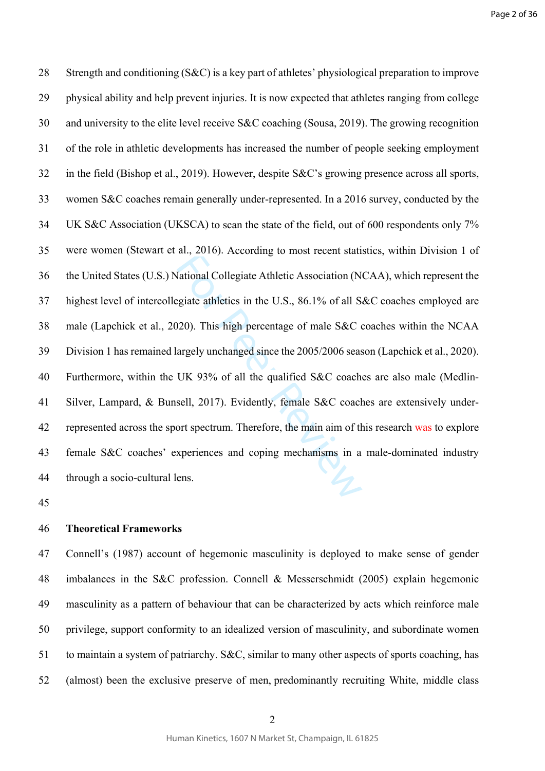and Collegiate Athletic Association (N<br>Stational Collegiate Athletic Association (N<br>Stational Collegiate Athletic Association (N<br>State athletics in the U.S., 86.1% of all S<br>200). This high percentage of male S&C of<br>argely 28 Strength and conditioning (S&C) is a key part of athletes' physiological preparation to improve 29 physical ability and help prevent injuries. It is now expected that athletes ranging from college 30 and university to the elite level receive S&C coaching (Sousa, 2019). The growing recognition 31 of the role in athletic developments has increased the number of people seeking employment 32 in the field (Bishop et al., 2019). However, despite S&C's growing presence across all sports, 33 women S&C coaches remain generally under-represented. In a 2016 survey, conducted by the 34 UK S&C Association (UKSCA) to scan the state of the field, out of 600 respondents only 7% 35 were women (Stewart et al., 2016). According to most recent statistics, within Division 1 of 36 the United States (U.S.) National Collegiate Athletic Association (NCAA), which represent the 37 highest level of intercollegiate athletics in the U.S., 86.1% of all S&C coaches employed are 38 male (Lapchick et al., 2020). This high percentage of male S&C coaches within the NCAA 39 Division 1 has remained largely unchanged since the 2005/2006 season (Lapchick et al., 2020). 40 Furthermore, within the UK 93% of all the qualified S&C coaches are also male (Medlin-41 Silver, Lampard, & Bunsell, 2017). Evidently, female S&C coaches are extensively under-42 represented across the sport spectrum. Therefore, the main aim of this research was to explore 43 female S&C coaches' experiences and coping mechanisms in a male-dominated industry 44 through a socio-cultural lens.

45

## 46 **Theoretical Frameworks**

47 Connell's (1987) account of hegemonic masculinity is deployed to make sense of gender 48 imbalances in the S&C profession. Connell & Messerschmidt (2005) explain hegemonic 49 masculinity as a pattern of behaviour that can be characterized by acts which reinforce male 50 privilege, support conformity to an idealized version of masculinity, and subordinate women 51 to maintain a system of patriarchy. S&C, similar to many other aspects of sports coaching, has 52 (almost) been the exclusive preserve of men, predominantly recruiting White, middle class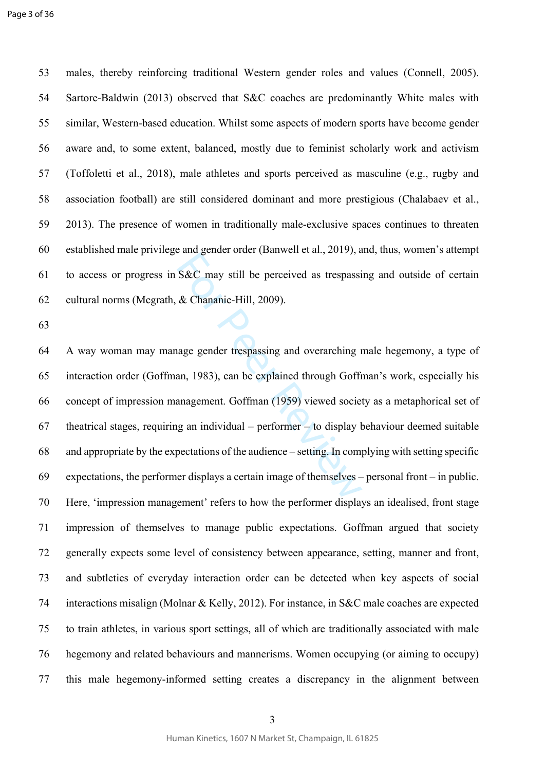53 males, thereby reinforcing traditional Western gender roles and values (Connell, 2005). 54 Sartore-Baldwin (2013) observed that S&C coaches are predominantly White males with 55 similar, Western-based education. Whilst some aspects of modern sports have become gender 56 aware and, to some extent, balanced, mostly due to feminist scholarly work and activism 57 (Toffoletti et al., 2018), male athletes and sports perceived as masculine (e.g., rugby and 58 association football) are still considered dominant and more prestigious (Chalabaev et al., 59 2013). The presence of women in traditionally male-exclusive spaces continues to threaten 60 established male privilege and gender order (Banwell et al., 2019), and, thus, women's attempt 61 to access or progress in S&C may still be perceived as trespassing and outside of certain 62 cultural norms (Mcgrath, & Chananie-Hill, 2009).

63

S&C may still be perceived as trespassi<br>& Chananie-Hill, 2009).<br>age gender trespassing and overarching i<br>ann, 1983), can be explained through Goffi<br>anagement. Goffman (1959) viewed socie<br>g an individual – performer – to d 64 A way woman may manage gender trespassing and overarching male hegemony, a type of 65 interaction order (Goffman, 1983), can be explained through Goffman's work, especially his 66 concept of impression management. Goffman (1959) viewed society as a metaphorical set of 67 theatrical stages, requiring an individual – performer – to display behaviour deemed suitable 68 and appropriate by the expectations of the audience – setting. In complying with setting specific 69 expectations, the performer displays a certain image of themselves – personal front – in public. 70 Here, 'impression management' refers to how the performer displays an idealised, front stage 71 impression of themselves to manage public expectations. Goffman argued that society 72 generally expects some level of consistency between appearance, setting, manner and front, 73 and subtleties of everyday interaction order can be detected when key aspects of social 74 interactions misalign (Molnar & Kelly, 2012). For instance, in S&C male coaches are expected 75 to train athletes, in various sport settings, all of which are traditionally associated with male 76 hegemony and related behaviours and mannerisms. Women occupying (or aiming to occupy) 77 this male hegemony-informed setting creates a discrepancy in the alignment between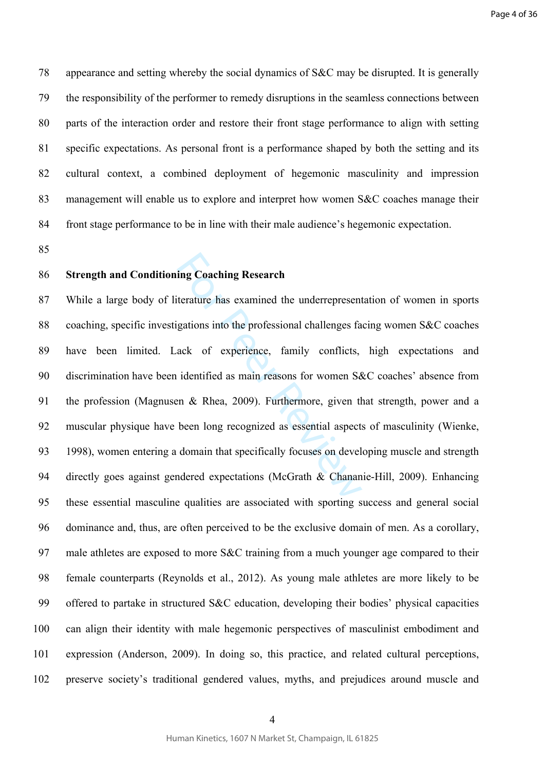78 appearance and setting whereby the social dynamics of S&C may be disrupted. It is generally 79 the responsibility of the performer to remedy disruptions in the seamless connections between 80 parts of the interaction order and restore their front stage performance to align with setting 81 specific expectations. As personal front is a performance shaped by both the setting and its 82 cultural context, a combined deployment of hegemonic masculinity and impression 83 management will enable us to explore and interpret how women S&C coaches manage their 84 front stage performance to be in line with their male audience's hegemonic expectation.

85

#### 86 **Strength and Conditioning Coaching Research**

ing Coaching Research<br>
iterature has examined the underrepresent<br>
gations into the professional challenges fa<br>
ack of experience, family conflicts,<br>
identified as main reasons for women S&<br>
en & Rhea, 2009). Furthermore, 87 While a large body of literature has examined the underrepresentation of women in sports 88 coaching, specific investigations into the professional challenges facing women S&C coaches 89 have been limited. Lack of experience, family conflicts, high expectations and 90 discrimination have been identified as main reasons for women S&C coaches' absence from 91 the profession (Magnusen & Rhea, 2009). Furthermore, given that strength, power and a 92 muscular physique have been long recognized as essential aspects of masculinity (Wienke, 93 1998), women entering a domain that specifically focuses on developing muscle and strength 94 directly goes against gendered expectations (McGrath & Chananie-Hill, 2009). Enhancing 95 these essential masculine qualities are associated with sporting success and general social 96 dominance and, thus, are often perceived to be the exclusive domain of men. As a corollary, 97 male athletes are exposed to more S&C training from a much younger age compared to their 98 female counterparts (Reynolds et al., 2012). As young male athletes are more likely to be 99 offered to partake in structured S&C education, developing their bodies' physical capacities 100 can align their identity with male hegemonic perspectives of masculinist embodiment and 101 expression (Anderson, 2009). In doing so, this practice, and related cultural perceptions, 102 preserve society's traditional gendered values, myths, and prejudices around muscle and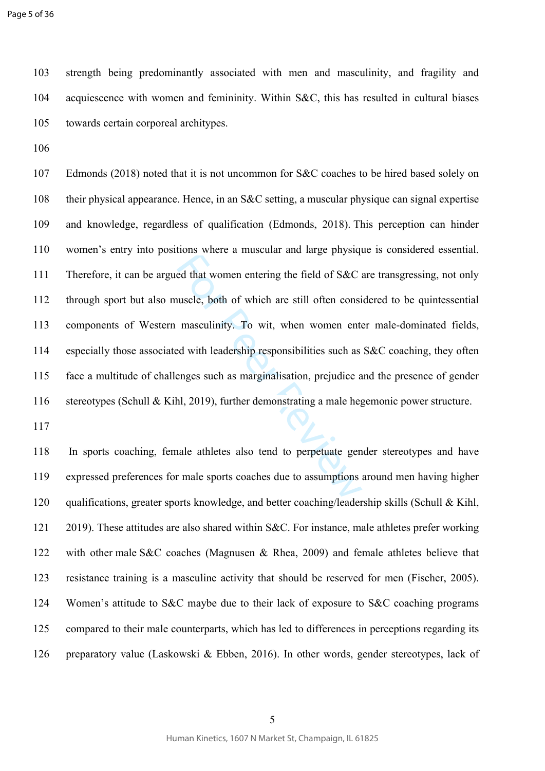103 strength being predominantly associated with men and masculinity, and fragility and 104 acquiescence with women and femininity. Within S&C, this has resulted in cultural biases 105 towards certain corporeal architypes.

106

result where a massum and mage physiqued<br>ed that women entering the field of S&C a<br>nuscle, both of which are still often consi<br>masculinity. To wit, when women enter<br>ed with leadership responsibilities such as<br>enges such as 107 Edmonds (2018) noted that it is not uncommon for S&C coaches to be hired based solely on 108 their physical appearance. Hence, in an S&C setting, a muscular physique can signal expertise 109 and knowledge, regardless of qualification (Edmonds, 2018). This perception can hinder 110 women's entry into positions where a muscular and large physique is considered essential. 111 Therefore, it can be argued that women entering the field of S&C are transgressing, not only 112 through sport but also muscle, both of which are still often considered to be quintessential 113 components of Western masculinity. To wit, when women enter male-dominated fields, 114 especially those associated with leadership responsibilities such as S&C coaching, they often 115 face a multitude of challenges such as marginalisation, prejudice and the presence of gender 116 stereotypes (Schull & Kihl, 2019), further demonstrating a male hegemonic power structure.

117

118 In sports coaching, female athletes also tend to perpetuate gender stereotypes and have 119 expressed preferences for male sports coaches due to assumptions around men having higher 120 qualifications, greater sports knowledge, and better coaching/leadership skills (Schull & Kihl, 121 2019). These attitudes are also shared within S&C. For instance, male athletes prefer working 122 with other male S&C coaches (Magnusen & Rhea, 2009) and female athletes believe that 123 resistance training is a masculine activity that should be reserved for men (Fischer, 2005). 124 Women's attitude to S&C maybe due to their lack of exposure to S&C coaching programs 125 compared to their male counterparts, which has led to differences in perceptions regarding its 126 preparatory value (Laskowski & Ebben, 2016). In other words, gender stereotypes, lack of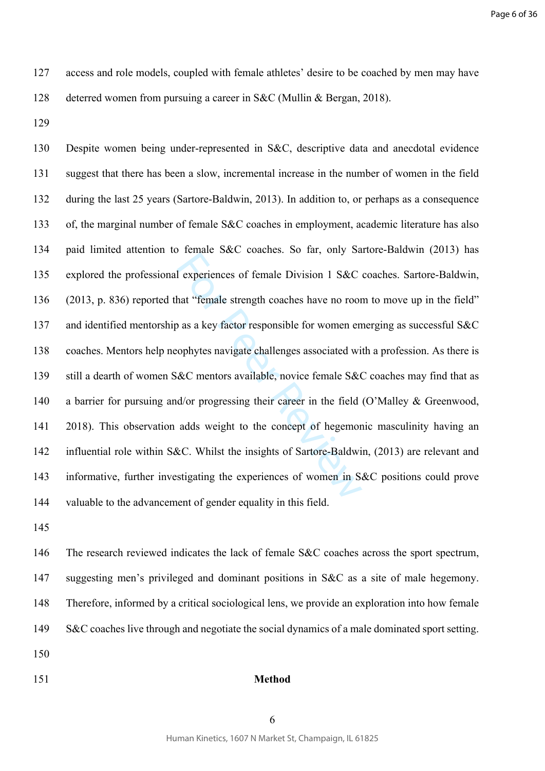- 127 access and role models, coupled with female athletes' desire to be coached by men may have 128 deterred women from pursuing a career in S&C (Mullin & Bergan, 2018).
- 129

For Personal Section 2016. So that, only be<br>all experiences of female Division 1 S&C<br>hat "female strength coaches have no roor<br>objects a sample for women en<br>cophytes navigate challenges associated wi<br>&C mentors available, 130 Despite women being under-represented in S&C, descriptive data and anecdotal evidence 131 suggest that there has been a slow, incremental increase in the number of women in the field 132 during the last 25 years (Sartore-Baldwin, 2013). In addition to, or perhaps as a consequence 133 of, the marginal number of female S&C coaches in employment, academic literature has also 134 paid limited attention to female S&C coaches. So far, only Sartore-Baldwin (2013) has 135 explored the professional experiences of female Division 1 S&C coaches. Sartore-Baldwin, 136 (2013, p. 836) reported that "female strength coaches have no room to move up in the field" 137 and identified mentorship as a key factor responsible for women emerging as successful S&C 138 coaches. Mentors help neophytes navigate challenges associated with a profession. As there is 139 still a dearth of women S&C mentors available, novice female S&C coaches may find that as 140 a barrier for pursuing and/or progressing their career in the field (O'Malley & Greenwood, 141 2018). This observation adds weight to the concept of hegemonic masculinity having an 142 influential role within S&C. Whilst the insights of Sartore-Baldwin, (2013) are relevant and 143 informative, further investigating the experiences of women in S&C positions could prove 144 valuable to the advancement of gender equality in this field.

145

146 The research reviewed indicates the lack of female S&C coaches across the sport spectrum, 147 suggesting men's privileged and dominant positions in S&C as a site of male hegemony. 148 Therefore, informed by a critical sociological lens, we provide an exploration into how female 149 S&C coaches live through and negotiate the social dynamics of a male dominated sport setting.

- 150
- 

## 151 **Method**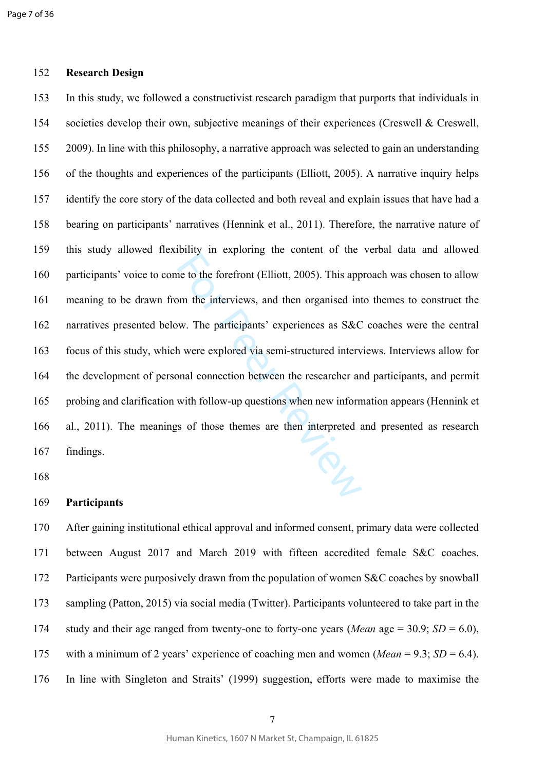#### 152 **Research Design**

Formy in expressing the center. C the<br>ne to the forefront (Elliott, 2005). This app<br>bm the interviews, and then organised int<br>w. The participants' experiences as S&C<br>h were explored via semi-structured interv<br>bnal connecti 153 In this study, we followed a constructivist research paradigm that purports that individuals in 154 societies develop their own, subjective meanings of their experiences (Creswell & Creswell, 155 2009). In line with this philosophy, a narrative approach was selected to gain an understanding 156 of the thoughts and experiences of the participants (Elliott, 2005). A narrative inquiry helps 157 identify the core story of the data collected and both reveal and explain issues that have had a 158 bearing on participants' narratives (Hennink et al., 2011). Therefore, the narrative nature of 159 this study allowed flexibility in exploring the content of the verbal data and allowed 160 participants' voice to come to the forefront (Elliott, 2005). This approach was chosen to allow 161 meaning to be drawn from the interviews, and then organised into themes to construct the 162 narratives presented below. The participants' experiences as S&C coaches were the central 163 focus of this study, which were explored via semi-structured interviews. Interviews allow for 164 the development of personal connection between the researcher and participants, and permit 165 probing and clarification with follow-up questions when new information appears (Hennink et 166 al., 2011). The meanings of those themes are then interpreted and presented as research 167 findings.

168

#### 169 **Participants**

170 After gaining institutional ethical approval and informed consent, primary data were collected 171 between August 2017 and March 2019 with fifteen accredited female S&C coaches. 172 Participants were purposively drawn from the population of women S&C coaches by snowball 173 sampling (Patton, 2015) via social media (Twitter). Participants volunteered to take part in the 174 study and their age ranged from twenty-one to forty-one years (*Mean* age = 30.9; *SD* = 6.0), 175 with a minimum of 2 years' experience of coaching men and women (*Mean* = 9.3; *SD* = 6.4). 176 In line with Singleton and Straits' (1999) suggestion, efforts were made to maximise the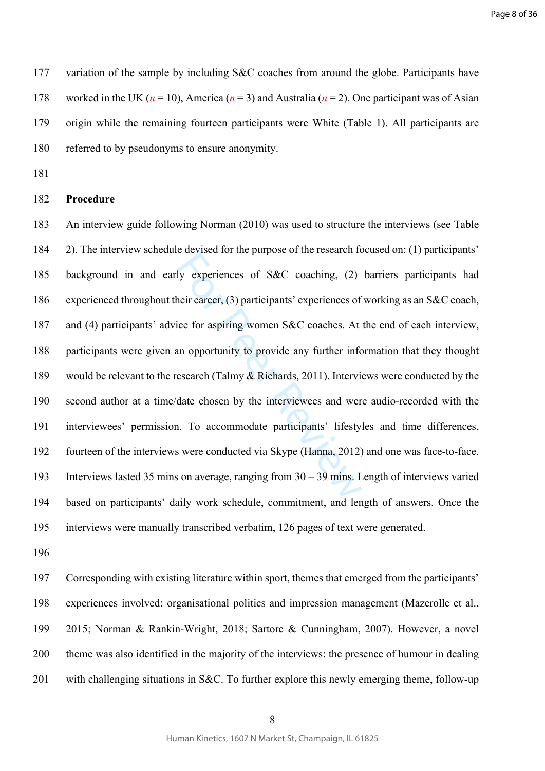Page 8 of 36

177 variation of the sample by including S&C coaches from around the globe. Participants have 178 worked in the UK ( $n = 10$ ), America ( $n = 3$ ) and Australia ( $n = 2$ ). One participant was of Asian 179 origin while the remaining fourteen participants were White (Table 1). All participants are 180 referred to by pseudonyms to ensure anonymity.

181

## 182 **Procedure**

by experiences of S&C coaching, (2)<br>heir career, (3) participants' experiences of<br>ice for aspiring women S&C coaches. At<br>an opportunity to provide any further info<br>esearch (Talmy & Richards, 2011). Intervie<br>date chosen by 183 An interview guide following Norman (2010) was used to structure the interviews (see Table 184 2). The interview schedule devised for the purpose of the research focused on: (1) participants' 185 background in and early experiences of S&C coaching, (2) barriers participants had 186 experienced throughout their career, (3) participants' experiences of working as an S&C coach, 187 and (4) participants' advice for aspiring women S&C coaches. At the end of each interview, 188 participants were given an opportunity to provide any further information that they thought 189 would be relevant to the research (Talmy & Richards, 2011). Interviews were conducted by the 190 second author at a time/date chosen by the interviewees and were audio-recorded with the 191 interviewees' permission. To accommodate participants' lifestyles and time differences, 192 fourteen of the interviews were conducted via Skype (Hanna, 2012) and one was face-to-face. 193 Interviews lasted 35 mins on average, ranging from 30 – 39 mins. Length of interviews varied 194 based on participants' daily work schedule, commitment, and length of answers. Once the 195 interviews were manually transcribed verbatim, 126 pages of text were generated.

196

197 Corresponding with existing literature within sport, themes that emerged from the participants' 198 experiences involved: organisational politics and impression management (Mazerolle et al., 199 2015; Norman & Rankin-Wright, 2018; Sartore & Cunningham, 2007). However, a novel 200 theme was also identified in the majority of the interviews: the presence of humour in dealing 201 with challenging situations in S&C. To further explore this newly emerging theme, follow-up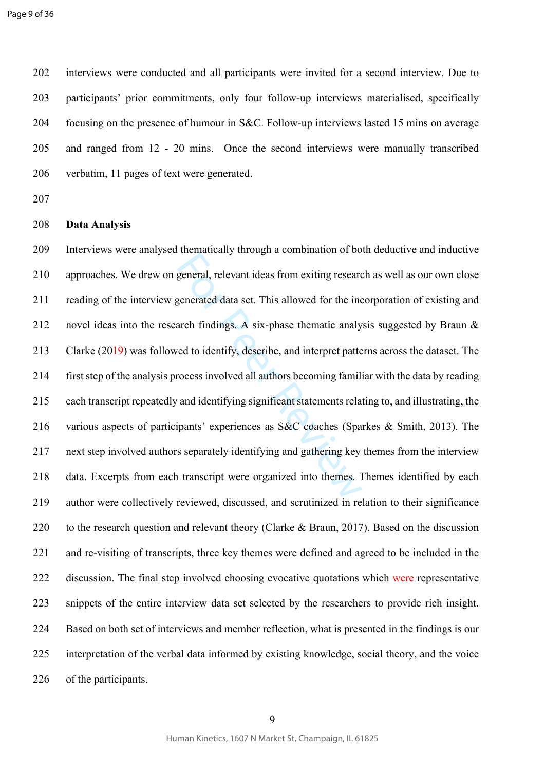Page 9 of 36

202 interviews were conducted and all participants were invited for a second interview. Due to 203 participants' prior commitments, only four follow-up interviews materialised, specifically 204 focusing on the presence of humour in S&C. Follow-up interviews lasted 15 mins on average 205 and ranged from 12 - 20 mins. Once the second interviews were manually transcribed 206 verbatim, 11 pages of text were generated.

207

#### 208 **Data Analysis**

eneral, relevant ideas from exiting research<br>general, relevant ideas from exiting research<br>generated data set. This allowed for the incordent findings. A six-phase thematic analy<br>red to identify, describe, and interpret pa 209 Interviews were analysed thematically through a combination of both deductive and inductive 210 approaches. We drew on general, relevant ideas from exiting research as well as our own close 211 reading of the interview generated data set. This allowed for the incorporation of existing and 212 novel ideas into the research findings. A six-phase thematic analysis suggested by Braun  $\&$ 213 Clarke (2019) was followed to identify, describe, and interpret patterns across the dataset. The 214 first step of the analysis process involved all authors becoming familiar with the data by reading 215 each transcript repeatedly and identifying significant statements relating to, and illustrating, the 216 various aspects of participants' experiences as S&C coaches (Sparkes & Smith, 2013). The 217 next step involved authors separately identifying and gathering key themes from the interview 218 data. Excerpts from each transcript were organized into themes. Themes identified by each 219 author were collectively reviewed, discussed, and scrutinized in relation to their significance 220 to the research question and relevant theory (Clarke & Braun, 2017). Based on the discussion 221 and re-visiting of transcripts, three key themes were defined and agreed to be included in the 222 discussion. The final step involved choosing evocative quotations which were representative 223 snippets of the entire interview data set selected by the researchers to provide rich insight. 224 Based on both set of interviews and member reflection, what is presented in the findings is our 225 interpretation of the verbal data informed by existing knowledge, social theory, and the voice 226 of the participants.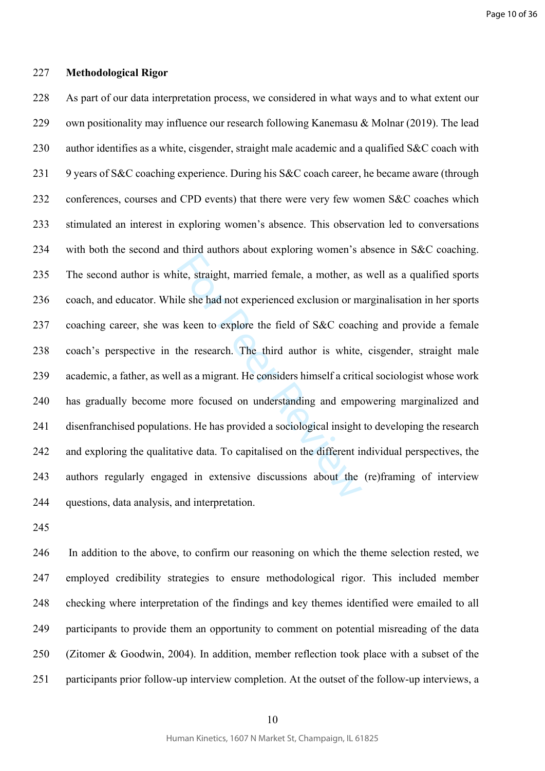#### 227 **Methodological Rigor**

For a straight, married female, a mother, as<br>ite, straight, married female, a mother, as<br>ile she had not experienced exclusion or m<br>s keen to explore the field of S&C coach<br>the research. The third author is white,<br>Il as a 228 As part of our data interpretation process, we considered in what ways and to what extent our 229 own positionality may influence our research following Kanemasu & Molnar (2019). The lead 230 author identifies as a white, cisgender, straight male academic and a qualified S&C coach with 231 9 years of S&C coaching experience. During his S&C coach career, he became aware (through 232 conferences, courses and CPD events) that there were very few women S&C coaches which 233 stimulated an interest in exploring women's absence. This observation led to conversations 234 with both the second and third authors about exploring women's absence in S&C coaching. 235 The second author is white, straight, married female, a mother, as well as a qualified sports 236 coach, and educator. While she had not experienced exclusion or marginalisation in her sports 237 coaching career, she was keen to explore the field of S&C coaching and provide a female 238 coach's perspective in the research. The third author is white, cisgender, straight male 239 academic, a father, as well as a migrant. He considers himself a critical sociologist whose work 240 has gradually become more focused on understanding and empowering marginalized and 241 disenfranchised populations. He has provided a sociological insight to developing the research 242 and exploring the qualitative data. To capitalised on the different individual perspectives, the 243 authors regularly engaged in extensive discussions about the (re)framing of interview 244 questions, data analysis, and interpretation.

245

246 In addition to the above, to confirm our reasoning on which the theme selection rested, we 247 employed credibility strategies to ensure methodological rigor. This included member 248 checking where interpretation of the findings and key themes identified were emailed to all 249 participants to provide them an opportunity to comment on potential misreading of the data 250 (Zitomer & Goodwin, 2004). In addition, member reflection took place with a subset of the 251 participants prior follow-up interview completion. At the outset of the follow-up interviews, a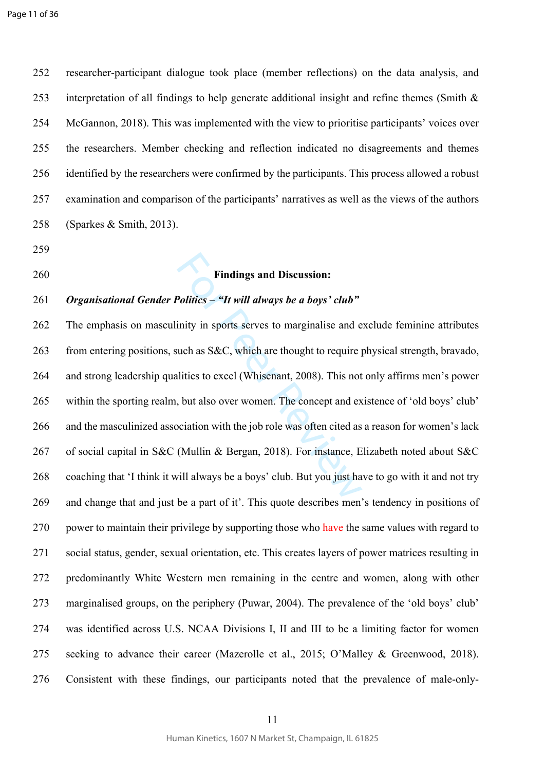252 researcher-participant dialogue took place (member reflections) on the data analysis, and 253 interpretation of all findings to help generate additional insight and refine themes (Smith  $\&$ 254 McGannon, 2018). This was implemented with the view to prioritise participants' voices over 255 the researchers. Member checking and reflection indicated no disagreements and themes 256 identified by the researchers were confirmed by the participants. This process allowed a robust 257 examination and comparison of the participants' narratives as well as the views of the authors 258 (Sparkes & Smith, 2013).

- 259
- 

## 260 **Findings and Discussion:**

## 261 *Organisational Gender Politics – "It will always be a boys' club"*

Findings and Discussion:<br>Politics – "It will always be a boys' club"<br>inity in sports serves to marginalise and e<br>uch as S&C, which are thought to require plities to excel (Whisenant, 2008). This not<br>, but also over women. 262 The emphasis on masculinity in sports serves to marginalise and exclude feminine attributes 263 from entering positions, such as S&C, which are thought to require physical strength, bravado, 264 and strong leadership qualities to excel (Whisenant, 2008). This not only affirms men's power 265 within the sporting realm, but also over women. The concept and existence of 'old boys' club' 266 and the masculinized association with the job role was often cited as a reason for women's lack 267 of social capital in S&C (Mullin & Bergan, 2018). For instance, Elizabeth noted about S&C 268 coaching that 'I think it will always be a boys' club. But you just have to go with it and not try 269 and change that and just be a part of it'. This quote describes men's tendency in positions of 270 power to maintain their privilege by supporting those who have the same values with regard to 271 social status, gender, sexual orientation, etc. This creates layers of power matrices resulting in 272 predominantly White Western men remaining in the centre and women, along with other 273 marginalised groups, on the periphery (Puwar, 2004). The prevalence of the 'old boys' club' 274 was identified across U.S. NCAA Divisions I, II and III to be a limiting factor for women 275 seeking to advance their career (Mazerolle et al., 2015; O'Malley & Greenwood, 2018). 276 Consistent with these findings, our participants noted that the prevalence of male-only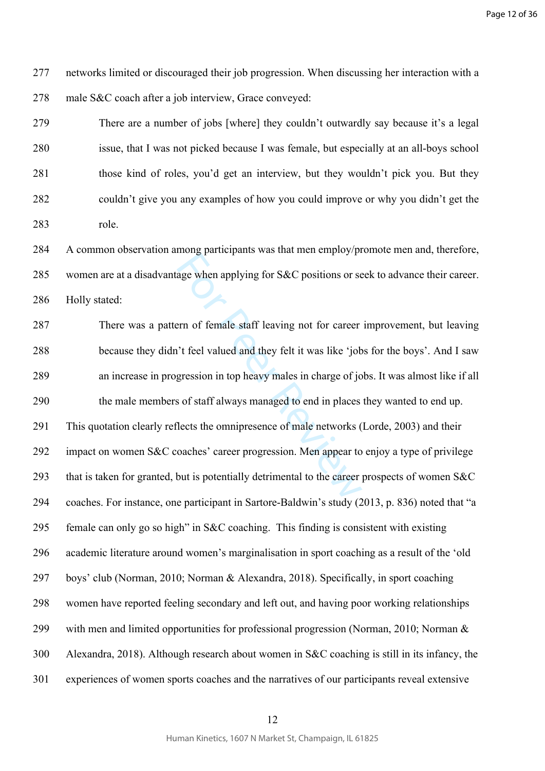277 networks limited or discouraged their job progression. When discussing her interaction with a 278 male S&C coach after a job interview, Grace conveyed:

279 There are a number of jobs [where] they couldn't outwardly say because it's a legal 280 issue, that I was not picked because I was female, but especially at an all-boys school 281 those kind of roles, you'd get an interview, but they wouldn't pick you. But they 282 couldn't give you any examples of how you could improve or why you didn't get the 283 role.

284 A common observation among participants was that men employ/promote men and, therefore, 285 women are at a disadvantage when applying for S&C positions or seek to advance their career. 286 Holly stated:

mong paracipants was data men emproy. Praggio when applying for S&C positions or set<br>and the energy of the career<br>of the valued and they felt it was like 'job<br>gression in top heavy males in charge of joo<br>s of staff always 287 There was a pattern of female staff leaving not for career improvement, but leaving 288 because they didn't feel valued and they felt it was like 'jobs for the boys'. And I saw 289 an increase in progression in top heavy males in charge of jobs. It was almost like if all 290 the male members of staff always managed to end in places they wanted to end up. 291 This quotation clearly reflects the omnipresence of male networks (Lorde, 2003) and their 292 impact on women S&C coaches' career progression. Men appear to enjoy a type of privilege 293 that is taken for granted, but is potentially detrimental to the career prospects of women S&C 294 coaches. For instance, one participant in Sartore-Baldwin's study (2013, p. 836) noted that "a 295 female can only go so high" in S&C coaching. This finding is consistent with existing 296 academic literature around women's marginalisation in sport coaching as a result of the 'old 297 boys' club (Norman, 2010; Norman & Alexandra, 2018). Specifically, in sport coaching 298 women have reported feeling secondary and left out, and having poor working relationships 299 with men and limited opportunities for professional progression (Norman, 2010; Norman & 300 Alexandra, 2018). Although research about women in S&C coaching is still in its infancy, the 301 experiences of women sports coaches and the narratives of our participants reveal extensive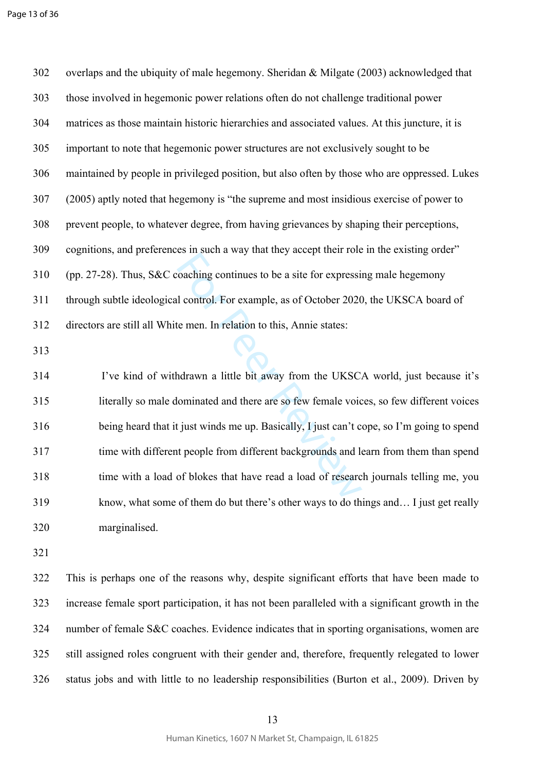302 overlaps and the ubiquity of male hegemony. Sheridan & Milgate (2003) acknowledged that 303 those involved in hegemonic power relations often do not challenge traditional power 304 matrices as those maintain historic hierarchies and associated values. At this juncture, it is 305 important to note that hegemonic power structures are not exclusively sought to be 306 maintained by people in privileged position, but also often by those who are oppressed. Lukes 307 (2005) aptly noted that hegemony is "the supreme and most insidious exercise of power to 308 prevent people, to whatever degree, from having grievances by shaping their perceptions, 309 cognitions, and preferences in such a way that they accept their role in the existing order" 310 (pp. 27-28). Thus, S&C coaching continues to be a site for expressing male hegemony 311 through subtle ideological control. For example, as of October 2020, the UKSCA board of 312 directors are still all White men. In relation to this, Annie states:

313

For a way and they accept then total<br>coaching continues to be a site for expressi<br>d control. For example, as of October 2020<br>te men. In relation to this, Annie states:<br>hdrawn a little bit away from the UKSC.<br>lominated and 314 I've kind of withdrawn a little bit away from the UKSCA world, just because it's 315 literally so male dominated and there are so few female voices, so few different voices 316 being heard that it just winds me up. Basically, I just can't cope, so I'm going to spend 317 time with different people from different backgrounds and learn from them than spend 318 time with a load of blokes that have read a load of research journals telling me, you 319 know, what some of them do but there's other ways to do things and… I just get really 320 marginalised.

321

322 This is perhaps one of the reasons why, despite significant efforts that have been made to 323 increase female sport participation, it has not been paralleled with a significant growth in the 324 number of female S&C coaches. Evidence indicates that in sporting organisations, women are 325 still assigned roles congruent with their gender and, therefore, frequently relegated to lower 326 status jobs and with little to no leadership responsibilities (Burton et al., 2009). Driven by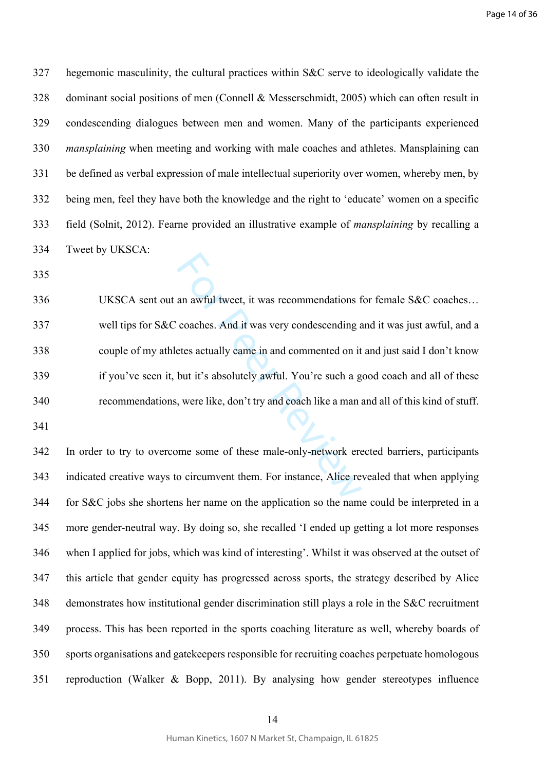327 hegemonic masculinity, the cultural practices within S&C serve to ideologically validate the 328 dominant social positions of men (Connell & Messerschmidt, 2005) which can often result in 329 condescending dialogues between men and women. Many of the participants experienced 330 *mansplaining* when meeting and working with male coaches and athletes. Mansplaining can 331 be defined as verbal expression of male intellectual superiority over women, whereby men, by 332 being men, feel they have both the knowledge and the right to 'educate' women on a specific 333 field (Solnit, 2012). Fearne provided an illustrative example of *mansplaining* by recalling a 334 Tweet by UKSCA:

335

an awful tweet, it was recommendations f<br>coaches. And it was very condescending a<br>etes actually came in and commented on it<br>but it's absolutely awful. You're such a g<br>, were like, don't try and coach like a man a<br>me some o 336 UKSCA sent out an awful tweet, it was recommendations for female S&C coaches… 337 well tips for S&C coaches. And it was very condescending and it was just awful, and a 338 couple of my athletes actually came in and commented on it and just said I don't know 339 if you've seen it, but it's absolutely awful. You're such a good coach and all of these 340 recommendations, were like, don't try and coach like a man and all of this kind of stuff.

341

342 In order to try to overcome some of these male-only-network erected barriers, participants 343 indicated creative ways to circumvent them. For instance, Alice revealed that when applying 344 for S&C jobs she shortens her name on the application so the name could be interpreted in a 345 more gender-neutral way. By doing so, she recalled 'I ended up getting a lot more responses 346 when I applied for jobs, which was kind of interesting'. Whilst it was observed at the outset of 347 this article that gender equity has progressed across sports, the strategy described by Alice 348 demonstrates how institutional gender discrimination still plays a role in the S&C recruitment 349 process. This has been reported in the sports coaching literature as well, whereby boards of 350 sports organisations and gatekeepers responsible for recruiting coaches perpetuate homologous 351 reproduction (Walker & Bopp, 2011). By analysing how gender stereotypes influence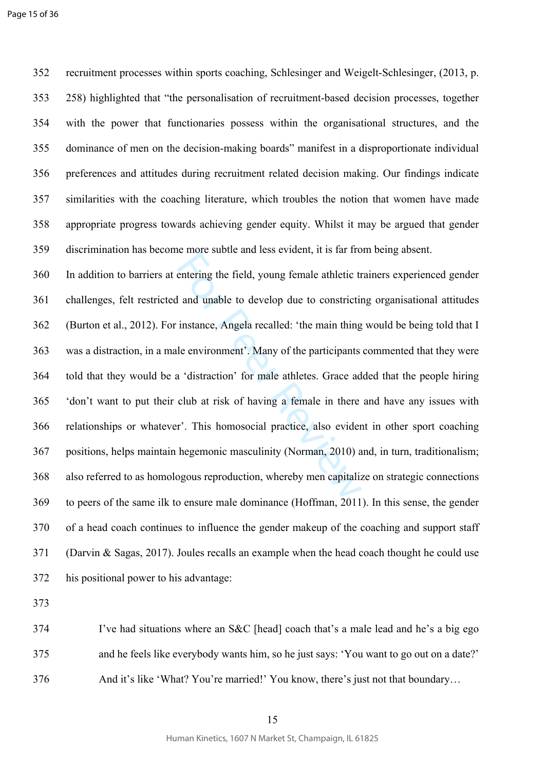352 recruitment processes within sports coaching, Schlesinger and Weigelt-Schlesinger, (2013, p. 353 258) highlighted that "the personalisation of recruitment-based decision processes, together 354 with the power that functionaries possess within the organisational structures, and the 355 dominance of men on the decision-making boards" manifest in a disproportionate individual 356 preferences and attitudes during recruitment related decision making. Our findings indicate 357 similarities with the coaching literature, which troubles the notion that women have made 358 appropriate progress towards achieving gender equity. Whilst it may be argued that gender 359 discrimination has become more subtle and less evident, it is far from being absent.

e more sacto and test etracin, the fall into entering the field, young female athletic tr<br>and unable to develop due to constriction<br>instance, Angela recalled: 'the main thing<br>le environment'. Many of the participants<br>a 'di 360 In addition to barriers at entering the field, young female athletic trainers experienced gender 361 challenges, felt restricted and unable to develop due to constricting organisational attitudes 362 (Burton et al., 2012). For instance, Angela recalled: 'the main thing would be being told that I 363 was a distraction, in a male environment'. Many of the participants commented that they were 364 told that they would be a 'distraction' for male athletes. Grace added that the people hiring 365 'don't want to put their club at risk of having a female in there and have any issues with 366 relationships or whatever'. This homosocial practice, also evident in other sport coaching 367 positions, helps maintain hegemonic masculinity (Norman, 2010) and, in turn, traditionalism; 368 also referred to as homologous reproduction, whereby men capitalize on strategic connections 369 to peers of the same ilk to ensure male dominance (Hoffman, 2011). In this sense, the gender 370 of a head coach continues to influence the gender makeup of the coaching and support staff 371 (Darvin & Sagas, 2017). Joules recalls an example when the head coach thought he could use 372 his positional power to his advantage:

373

374 I've had situations where an S&C [head] coach that's a male lead and he's a big ego 375 and he feels like everybody wants him, so he just says: 'You want to go out on a date?' 376 And it's like 'What? You're married!' You know, there's just not that boundary…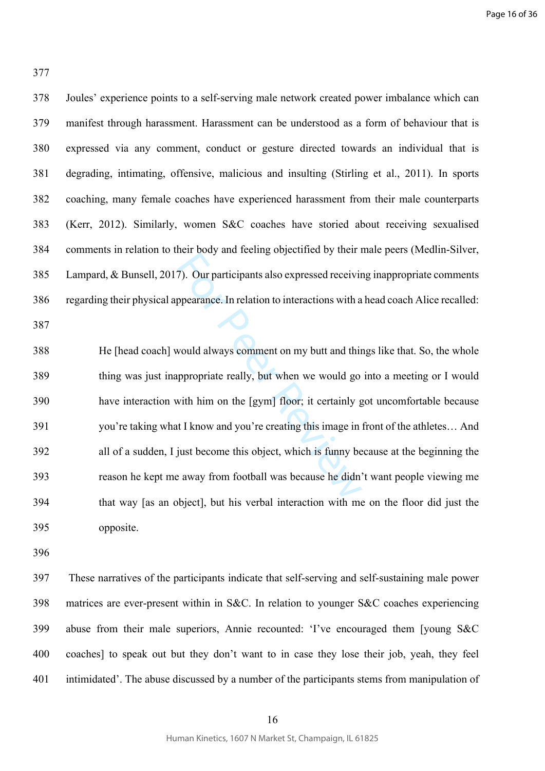377

| Joules' experience points to a self-serving male network created power imbalance which can         |
|----------------------------------------------------------------------------------------------------|
| manifest through harassment. Harassment can be understood as a form of behaviour that is           |
| expressed via any comment, conduct or gesture directed towards an individual that is               |
| degrading, intimating, offensive, malicious and insulting (Stirling et al., 2011). In sports       |
| coaching, many female coaches have experienced harassment from their male counterparts             |
| (Kerr, 2012). Similarly, women S&C coaches have storied about receiving sexualised                 |
| comments in relation to their body and feeling objectified by their male peers (Medlin-Silver,     |
| Lampard, & Bunsell, 2017). Our participants also expressed receiving inappropriate comments        |
| regarding their physical appearance. In relation to interactions with a head coach Alice recalled: |
|                                                                                                    |
|                                                                                                    |
| He [head coach] would always comment on my butt and things like that. So, the whole                |
| thing was just inappropriate really, but when we would go into a meeting or I would                |
| have interaction with him on the [gym] floor; it certainly got uncomfortable because               |
| you're taking what I know and you're creating this image in front of the athletes And              |
| all of a sudden, I just become this object, which is funny because at the beginning the            |
| reason he kept me away from football was because he didn't want people viewing me                  |
| that way [as an object], but his verbal interaction with me on the floor did just the              |
|                                                                                                    |

396

397 These narratives of the participants indicate that self-serving and self-sustaining male power 398 matrices are ever-present within in S&C. In relation to younger S&C coaches experiencing 399 abuse from their male superiors, Annie recounted: 'I've encouraged them [young S&C 400 coaches] to speak out but they don't want to in case they lose their job, yeah, they feel 401 intimidated'. The abuse discussed by a number of the participants stems from manipulation of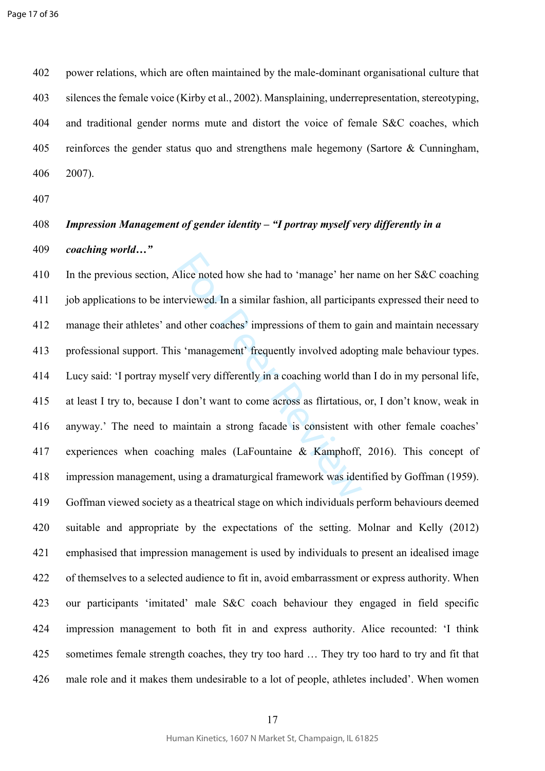402 power relations, which are often maintained by the male-dominant organisational culture that 403 silences the female voice (Kirby et al., 2002). Mansplaining, underrepresentation, stereotyping, 404 and traditional gender norms mute and distort the voice of female S&C coaches, which 405 reinforces the gender status quo and strengthens male hegemony (Sartore & Cunningham, 406 2007).

407

# 408 *Impression Management of gender identity – "I portray myself very differently in a*  409 *coaching world…"*

Alice noted how she had to 'manage' her n<br>erviewed. In a similar fashion, all participa<br>d other coaches' impressions of them to ga<br>s 'management' frequently involved adop<br>elf very differently in a coaching world that<br>I don 410 In the previous section, Alice noted how she had to 'manage' her name on her S&C coaching 411 job applications to be interviewed. In a similar fashion, all participants expressed their need to 412 manage their athletes' and other coaches' impressions of them to gain and maintain necessary 413 professional support. This 'management' frequently involved adopting male behaviour types. 414 Lucy said: 'I portray myself very differently in a coaching world than I do in my personal life, 415 at least I try to, because I don't want to come across as flirtatious, or, I don't know, weak in 416 anyway.' The need to maintain a strong facade is consistent with other female coaches' 417 experiences when coaching males (LaFountaine & Kamphoff, 2016). This concept of 418 impression management, using a dramaturgical framework was identified by Goffman (1959). 419 Goffman viewed society as a theatrical stage on which individuals perform behaviours deemed 420 suitable and appropriate by the expectations of the setting. Molnar and Kelly (2012) 421 emphasised that impression management is used by individuals to present an idealised image 422 of themselves to a selected audience to fit in, avoid embarrassment or express authority. When 423 our participants 'imitated' male S&C coach behaviour they engaged in field specific 424 impression management to both fit in and express authority. Alice recounted: 'I think 425 sometimes female strength coaches, they try too hard … They try too hard to try and fit that 426 male role and it makes them undesirable to a lot of people, athletes included'. When women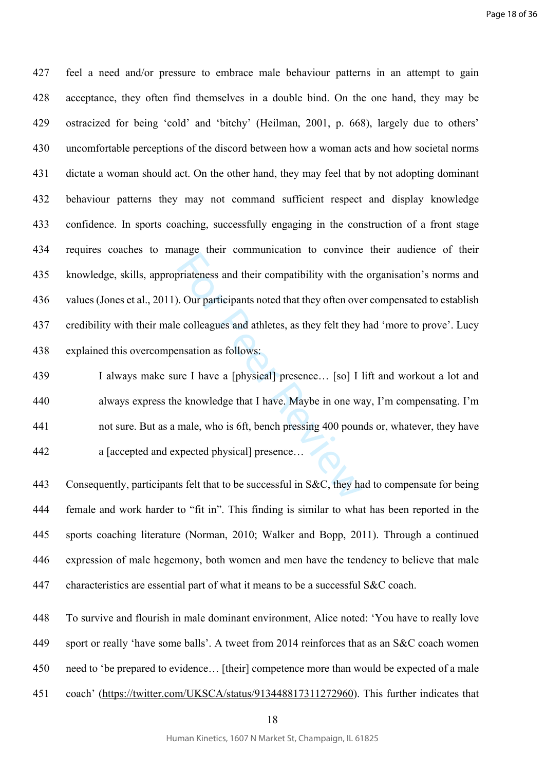oriateness and their compatibility with the<br>D. Our participants noted that they often over<br>e colleagues and athletes, as they felt they<br>ensation as follows:<br>Ince I have a [physical] presence... [so] I<br>e knowledge that I ha 427 feel a need and/or pressure to embrace male behaviour patterns in an attempt to gain 428 acceptance, they often find themselves in a double bind. On the one hand, they may be 429 ostracized for being 'cold' and 'bitchy' (Heilman, 2001, p. 668), largely due to others' 430 uncomfortable perceptions of the discord between how a woman acts and how societal norms 431 dictate a woman should act. On the other hand, they may feel that by not adopting dominant 432 behaviour patterns they may not command sufficient respect and display knowledge 433 confidence. In sports coaching, successfully engaging in the construction of a front stage 434 requires coaches to manage their communication to convince their audience of their 435 knowledge, skills, appropriateness and their compatibility with the organisation's norms and 436 values (Jones et al., 2011). Our participants noted that they often over compensated to establish 437 credibility with their male colleagues and athletes, as they felt they had 'more to prove'. Lucy 438 explained this overcompensation as follows:

439 I always make sure I have a [physical] presence… [so] I lift and workout a lot and 440 always express the knowledge that I have. Maybe in one way, I'm compensating. I'm 441 not sure. But as a male, who is 6ft, bench pressing 400 pounds or, whatever, they have 442 a [accepted and expected physical] presence…

443 Consequently, participants felt that to be successful in S&C, they had to compensate for being 444 female and work harder to "fit in". This finding is similar to what has been reported in the 445 sports coaching literature (Norman, 2010; Walker and Bopp, 2011). Through a continued 446 expression of male hegemony, both women and men have the tendency to believe that male 447 characteristics are essential part of what it means to be a successful S&C coach.

448 To survive and flourish in male dominant environment, Alice noted: 'You have to really love 449 sport or really 'have some balls'. A tweet from 2014 reinforces that as an S&C coach women 450 need to 'be prepared to evidence… [their] competence more than would be expected of a male 451 coach' (<https://twitter.com/UKSCA/status/913448817311272960>). This further indicates that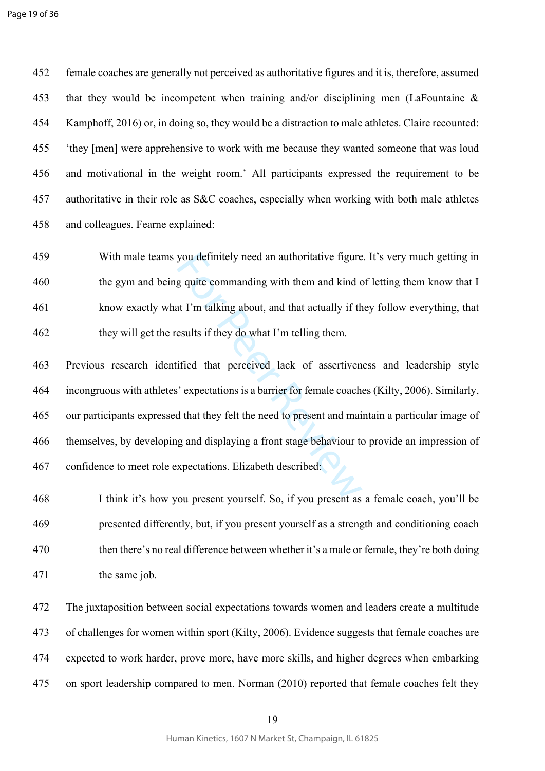452 female coaches are generally not perceived as authoritative figures and it is, therefore, assumed 453 that they would be incompetent when training and/or disciplining men (LaFountaine & 454 Kamphoff, 2016) or, in doing so, they would be a distraction to male athletes. Claire recounted: 455 'they [men] were apprehensive to work with me because they wanted someone that was loud 456 and motivational in the weight room.' All participants expressed the requirement to be 457 authoritative in their role as S&C coaches, especially when working with both male athletes 458 and colleagues. Fearne explained:

459 With male teams you definitely need an authoritative figure. It's very much getting in 460 the gym and being quite commanding with them and kind of letting them know that I 461 know exactly what I'm talking about, and that actually if they follow everything, that 462 they will get the results if they do what I'm telling them.

you definitely need an authoritative figure<br>g quite commanding with them and kind of<br>at I'm talking about, and that actually if th<br>esults if they do what I'm telling them.<br>ified that perceived lack of assertiven<br>ified that 463 Previous research identified that perceived lack of assertiveness and leadership style 464 incongruous with athletes' expectations is a barrier for female coaches (Kilty, 2006). Similarly, 465 our participants expressed that they felt the need to present and maintain a particular image of 466 themselves, by developing and displaying a front stage behaviour to provide an impression of 467 confidence to meet role expectations. Elizabeth described:

468 I think it's how you present yourself. So, if you present as a female coach, you'll be 469 presented differently, but, if you present yourself as a strength and conditioning coach 470 then there's no real difference between whether it's a male or female, they're both doing 471 the same job.

472 The juxtaposition between social expectations towards women and leaders create a multitude 473 of challenges for women within sport (Kilty, 2006). Evidence suggests that female coaches are 474 expected to work harder, prove more, have more skills, and higher degrees when embarking 475 on sport leadership compared to men. Norman (2010) reported that female coaches felt they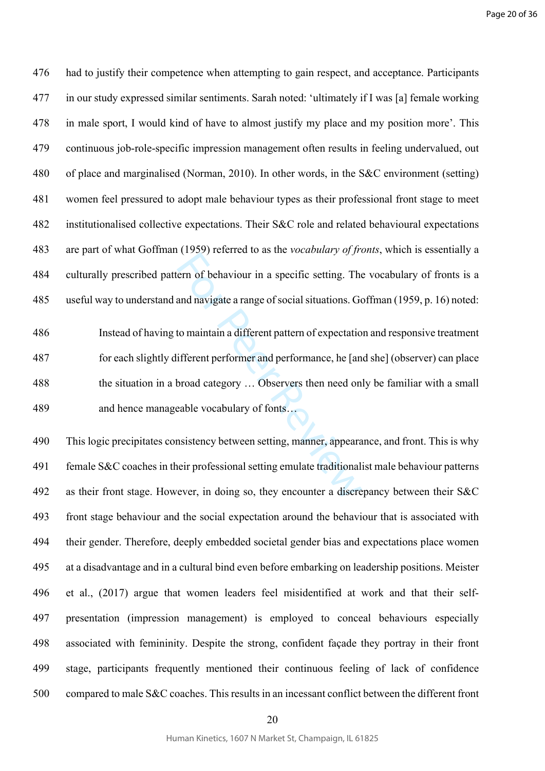476 had to justify their competence when attempting to gain respect, and acceptance. Participants 477 in our study expressed similar sentiments. Sarah noted: 'ultimately if I was [a] female working 478 in male sport, I would kind of have to almost justify my place and my position more'. This 479 continuous job-role-specific impression management often results in feeling undervalued, out 480 of place and marginalised (Norman, 2010). In other words, in the S&C environment (setting) 481 women feel pressured to adopt male behaviour types as their professional front stage to meet 482 institutionalised collective expectations. Their S&C role and related behavioural expectations 483 are part of what Goffman (1959) referred to as the *vocabulary of fronts*, which is essentially a 484 culturally prescribed pattern of behaviour in a specific setting. The vocabulary of fronts is a 485 useful way to understand and navigate a range of social situations. Goffman (1959, p. 16) noted:

For Person state *is* and navigate as the *i* beats that *y* by *y*  $\sim$ <br>term of behaviour in a specific setting. The<br>and navigate a range of social situations. Go<br>to maintain a different pattern of expectation<br>ifferent p 486 Instead of having to maintain a different pattern of expectation and responsive treatment 487 for each slightly different performer and performance, he [and she] (observer) can place 488 the situation in a broad category … Observers then need only be familiar with a small 489 and hence manageable vocabulary of fonts…

490 This logic precipitates consistency between setting, manner, appearance, and front. This is why 491 female S&C coaches in their professional setting emulate traditionalist male behaviour patterns 492 as their front stage. However, in doing so, they encounter a discrepancy between their S&C 493 front stage behaviour and the social expectation around the behaviour that is associated with 494 their gender. Therefore, deeply embedded societal gender bias and expectations place women 495 at a disadvantage and in a cultural bind even before embarking on leadership positions. Meister 496 et al., (2017) argue that women leaders feel misidentified at work and that their self-497 presentation (impression management) is employed to conceal behaviours especially 498 associated with femininity. Despite the strong, confident façade they portray in their front 499 stage, participants frequently mentioned their continuous feeling of lack of confidence 500 compared to male S&C coaches. This results in an incessant conflict between the different front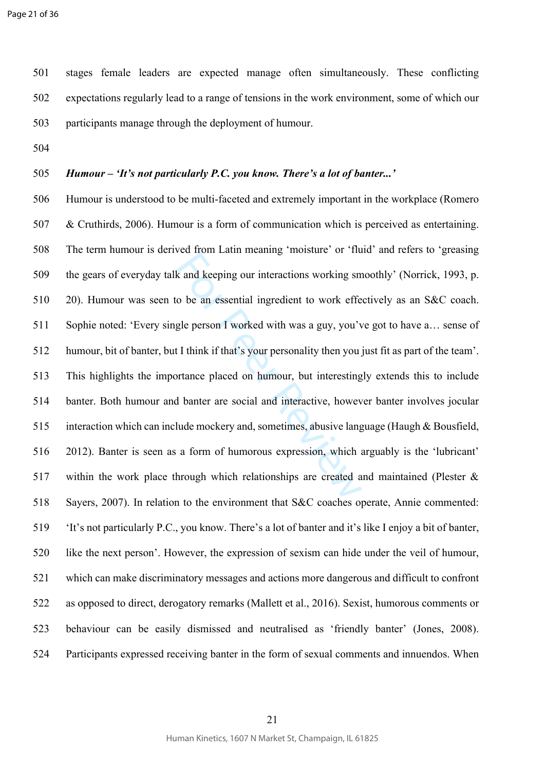501 stages female leaders are expected manage often simultaneously. These conflicting 502 expectations regularly lead to a range of tensions in the work environment, some of which our 503 participants manage through the deployment of humour.

504

## 505 *Humour – 'It's not particularly P.C. you know. There's a lot of banter...'*

For Petra meaning instance of the<br>action of the analysis of the and keeping our interactions working sm<br>o be an essential ingredient to work effect<br>gle person I worked with was a guy, you'ver<br>If I think if that's your pers 506 Humour is understood to be multi-faceted and extremely important in the workplace (Romero 507 & Cruthirds, 2006). Humour is a form of communication which is perceived as entertaining. 508 The term humour is derived from Latin meaning 'moisture' or 'fluid' and refers to 'greasing 509 the gears of everyday talk and keeping our interactions working smoothly' (Norrick, 1993, p. 510 20). Humour was seen to be an essential ingredient to work effectively as an S&C coach. 511 Sophie noted: 'Every single person I worked with was a guy, you've got to have a… sense of 512 humour, bit of banter, but I think if that's your personality then you just fit as part of the team'. 513 This highlights the importance placed on humour, but interestingly extends this to include 514 banter. Both humour and banter are social and interactive, however banter involves jocular 515 interaction which can include mockery and, sometimes, abusive language (Haugh & Bousfield, 516 2012). Banter is seen as a form of humorous expression, which arguably is the 'lubricant' 517 within the work place through which relationships are created and maintained (Plester & 518 Sayers, 2007). In relation to the environment that S&C coaches operate, Annie commented: 519 'It's not particularly P.C., you know. There's a lot of banter and it's like I enjoy a bit of banter, 520 like the next person'. However, the expression of sexism can hide under the veil of humour, 521 which can make discriminatory messages and actions more dangerous and difficult to confront 522 as opposed to direct, derogatory remarks (Mallett et al., 2016). Sexist, humorous comments or 523 behaviour can be easily dismissed and neutralised as 'friendly banter' (Jones, 2008). 524 Participants expressed receiving banter in the form of sexual comments and innuendos. When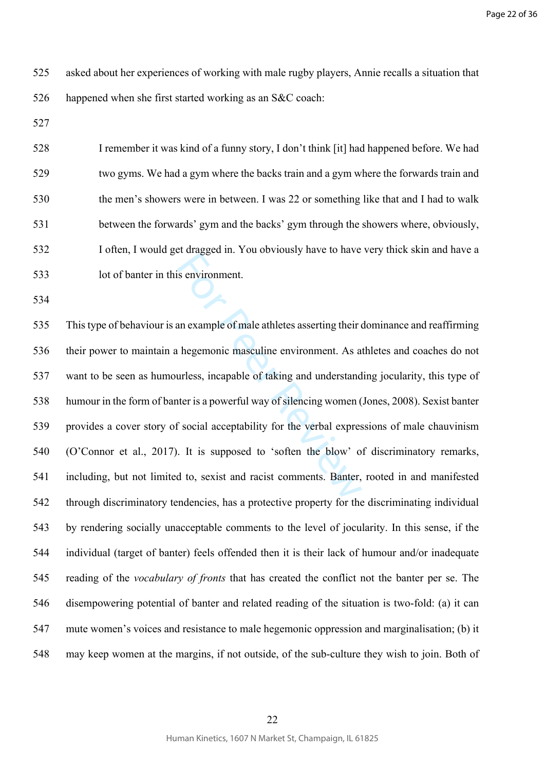- 525 asked about her experiences of working with male rugby players, Annie recalls a situation that 526 happened when she first started working as an S&C coach:
- 527

528 I remember it was kind of a funny story, I don't think [it] had happened before. We had 529 two gyms. We had a gym where the backs train and a gym where the forwards train and 530 the men's showers were in between. I was 22 or something like that and I had to walk 531 between the forwards' gym and the backs' gym through the showers where, obviously, 532 I often, I would get dragged in. You obviously have to have very thick skin and have a 533 lot of banter in this environment.

534

Example of male athletes asserting their<br>an example of male athletes asserting their<br>the peermonic masculine environment. As a<br>urless, incapable of taking and understand<br>ter is a powerful way of silencing women (<br>f social 535 This type of behaviour is an example of male athletes asserting their dominance and reaffirming 536 their power to maintain a hegemonic masculine environment. As athletes and coaches do not 537 want to be seen as humourless, incapable of taking and understanding jocularity, this type of 538 humour in the form of banter is a powerful way of silencing women (Jones, 2008). Sexist banter 539 provides a cover story of social acceptability for the verbal expressions of male chauvinism 540 (O'Connor et al., 2017). It is supposed to 'soften the blow' of discriminatory remarks, 541 including, but not limited to, sexist and racist comments. Banter, rooted in and manifested 542 through discriminatory tendencies, has a protective property for the discriminating individual 543 by rendering socially unacceptable comments to the level of jocularity. In this sense, if the 544 individual (target of banter) feels offended then it is their lack of humour and/or inadequate 545 reading of the *vocabulary of fronts* that has created the conflict not the banter per se. The 546 disempowering potential of banter and related reading of the situation is two-fold: (a) it can 547 mute women's voices and resistance to male hegemonic oppression and marginalisation; (b) it 548 may keep women at the margins, if not outside, of the sub-culture they wish to join. Both of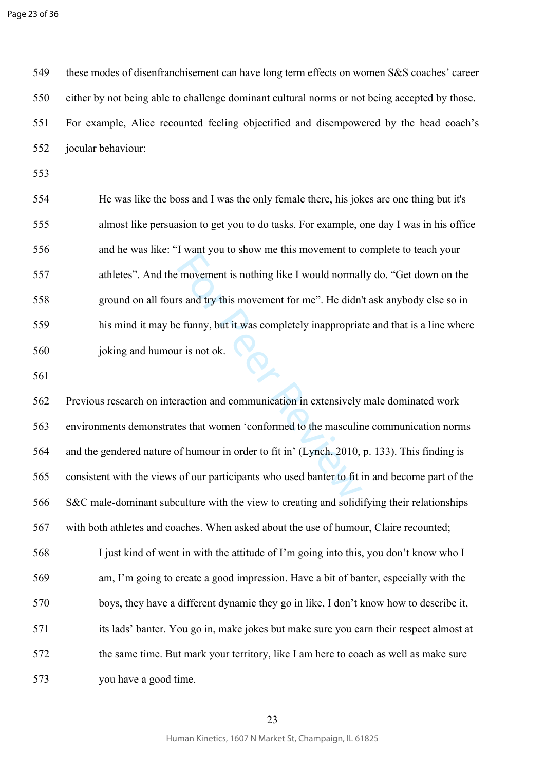549 these modes of disenfranchisement can have long term effects on women S&S coaches' career 550 either by not being able to challenge dominant cultural norms or not being accepted by those. 551 For example, Alice recounted feeling objectified and disempowered by the head coach's 552 jocular behaviour:

553

554 He was like the boss and I was the only female there, his jokes are one thing but it's 555 almost like persuasion to get you to do tasks. For example, one day I was in his office 556 and he was like: "I want you to show me this movement to complete to teach your 557 athletes". And the movement is nothing like I would normally do. "Get down on the 558 ground on all fours and try this movement for me". He didn't ask anybody else so in 559 his mind it may be funny, but it was completely inappropriate and that is a line where 560 joking and humour is not ok.

561

For the state of the state interesting to the movement is nothing like I would normal<br>for an and try this movement for me". He didn't<br>e funny, but it was completely inappropria<br>ar is not ok.<br>Traction and communication in e 562 Previous research on interaction and communication in extensively male dominated work 563 environments demonstrates that women 'conformed to the masculine communication norms 564 and the gendered nature of humour in order to fit in' (Lynch, 2010, p. 133). This finding is 565 consistent with the views of our participants who used banter to fit in and become part of the 566 S&C male-dominant subculture with the view to creating and solidifying their relationships 567 with both athletes and coaches. When asked about the use of humour, Claire recounted; 568 I just kind of went in with the attitude of I'm going into this, you don't know who I 569 am, I'm going to create a good impression. Have a bit of banter, especially with the 570 boys, they have a different dynamic they go in like, I don't know how to describe it, 571 its lads' banter. You go in, make jokes but make sure you earn their respect almost at 572 the same time. But mark your territory, like I am here to coach as well as make sure 573 you have a good time.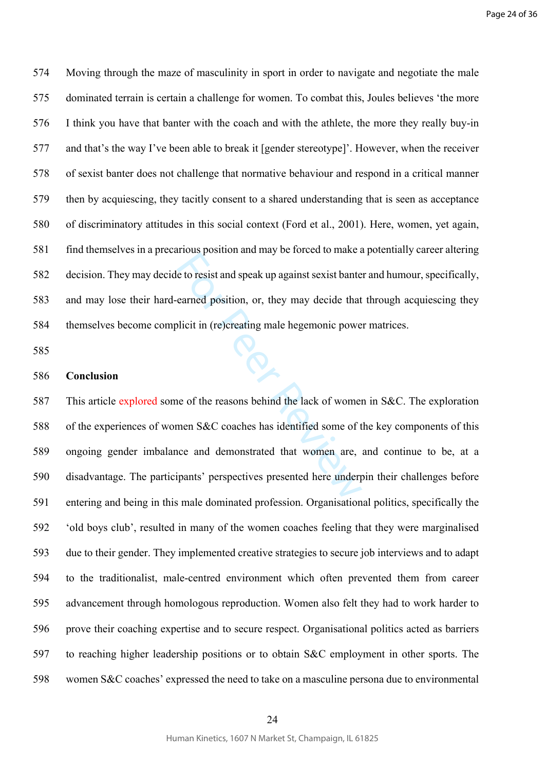574 Moving through the maze of masculinity in sport in order to navigate and negotiate the male 575 dominated terrain is certain a challenge for women. To combat this, Joules believes 'the more 576 I think you have that banter with the coach and with the athlete, the more they really buy-in 577 and that's the way I've been able to break it [gender stereotype]'. However, when the receiver 578 of sexist banter does not challenge that normative behaviour and respond in a critical manner 579 then by acquiescing, they tacitly consent to a shared understanding that is seen as acceptance 580 of discriminatory attitudes in this social context (Ford et al., 2001). Here, women, yet again, 581 find themselves in a precarious position and may be forced to make a potentially career altering 582 decision. They may decide to resist and speak up against sexist banter and humour, specifically, 583 and may lose their hard-earned position, or, they may decide that through acquiescing they 584 themselves become complicit in (re)creating male hegemonic power matrices.

585

#### 586 **Conclusion**

rical position and may be forced to maine the control of the control of the control of the carned position, or, they may decide that blicit in (re)creating male hegemonic power and the second of the reasons behind the lack 587 This article explored some of the reasons behind the lack of women in S&C. The exploration 588 of the experiences of women S&C coaches has identified some of the key components of this 589 ongoing gender imbalance and demonstrated that women are, and continue to be, at a 590 disadvantage. The participants' perspectives presented here underpin their challenges before 591 entering and being in this male dominated profession. Organisational politics, specifically the 592 'old boys club', resulted in many of the women coaches feeling that they were marginalised 593 due to their gender. They implemented creative strategies to secure job interviews and to adapt 594 to the traditionalist, male-centred environment which often prevented them from career 595 advancement through homologous reproduction. Women also felt they had to work harder to 596 prove their coaching expertise and to secure respect. Organisational politics acted as barriers 597 to reaching higher leadership positions or to obtain S&C employment in other sports. The 598 women S&C coaches' expressed the need to take on a masculine persona due to environmental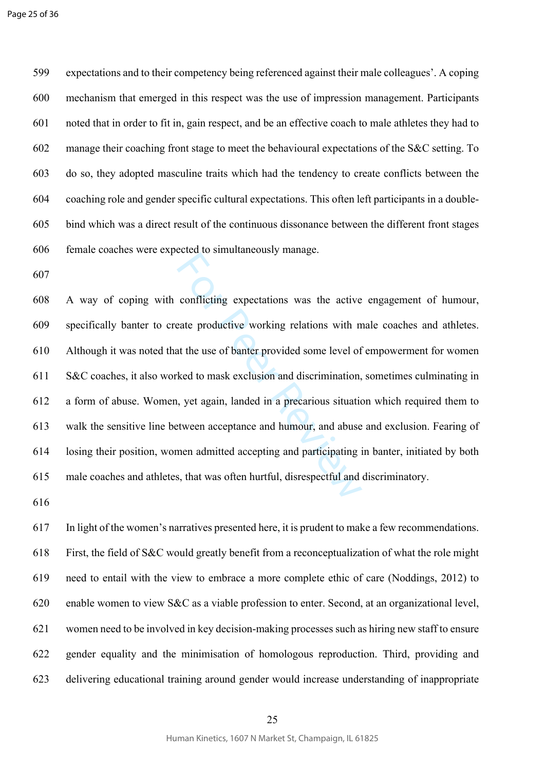599 expectations and to their competency being referenced against their male colleagues'. A coping 600 mechanism that emerged in this respect was the use of impression management. Participants 601 noted that in order to fit in, gain respect, and be an effective coach to male athletes they had to 602 manage their coaching front stage to meet the behavioural expectations of the S&C setting. To 603 do so, they adopted masculine traits which had the tendency to create conflicts between the 604 coaching role and gender specific cultural expectations. This often left participants in a double-605 bind which was a direct result of the continuous dissonance between the different front stages 606 female coaches were expected to simultaneously manage.

607

conflicting expectations was the active<br>eate productive working relations with n<br>at the use of banter provided some level of<br>ked to mask exclusion and discrimination,<br>u, yet again, landed in a precarious situation,<br>tween a 608 A way of coping with conflicting expectations was the active engagement of humour, 609 specifically banter to create productive working relations with male coaches and athletes. 610 Although it was noted that the use of banter provided some level of empowerment for women 611 S&C coaches, it also worked to mask exclusion and discrimination, sometimes culminating in 612 a form of abuse. Women, yet again, landed in a precarious situation which required them to 613 walk the sensitive line between acceptance and humour, and abuse and exclusion. Fearing of 614 losing their position, women admitted accepting and participating in banter, initiated by both 615 male coaches and athletes, that was often hurtful, disrespectful and discriminatory.

616

617 In light of the women's narratives presented here, it is prudent to make a few recommendations. 618 First, the field of S&C would greatly benefit from a reconceptualization of what the role might 619 need to entail with the view to embrace a more complete ethic of care (Noddings, 2012) to 620 enable women to view S&C as a viable profession to enter. Second, at an organizational level, 621 women need to be involved in key decision-making processes such as hiring new staff to ensure 622 gender equality and the minimisation of homologous reproduction. Third, providing and 623 delivering educational training around gender would increase understanding of inappropriate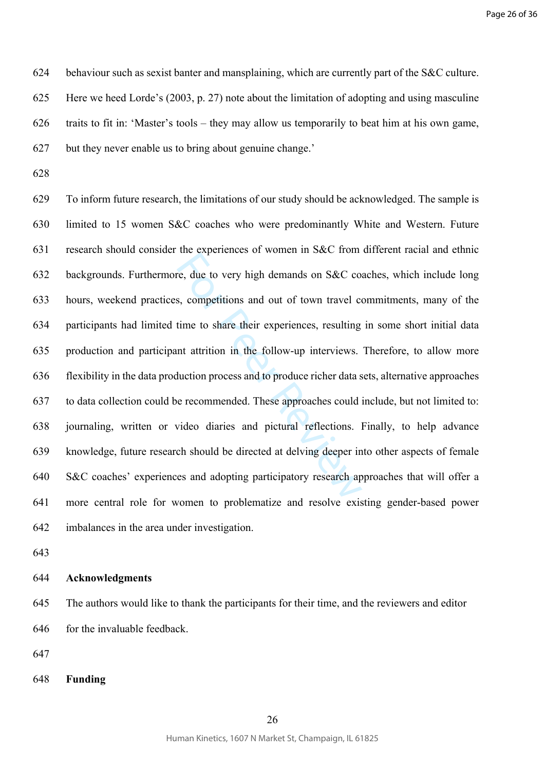624 behaviour such as sexist banter and mansplaining, which are currently part of the S&C culture. 625 Here we heed Lorde's (2003, p. 27) note about the limitation of adopting and using masculine 626 traits to fit in: 'Master's tools – they may allow us temporarily to beat him at his own game, 627 but they never enable us to bring about genuine change.'

628

and experiences of women in sect from<br>the engineering and out of town travel complements and out of town travel complement attention and out of town travel computer<br>time to share their experiences, resulting nt attrition i 629 To inform future research, the limitations of our study should be acknowledged. The sample is 630 limited to 15 women S&C coaches who were predominantly White and Western. Future 631 research should consider the experiences of women in S&C from different racial and ethnic 632 backgrounds. Furthermore, due to very high demands on S&C coaches, which include long 633 hours, weekend practices, competitions and out of town travel commitments, many of the 634 participants had limited time to share their experiences, resulting in some short initial data 635 production and participant attrition in the follow-up interviews. Therefore, to allow more 636 flexibility in the data production process and to produce richer data sets, alternative approaches 637 to data collection could be recommended. These approaches could include, but not limited to: 638 journaling, written or video diaries and pictural reflections. Finally, to help advance 639 knowledge, future research should be directed at delving deeper into other aspects of female 640 S&C coaches' experiences and adopting participatory research approaches that will offer a 641 more central role for women to problematize and resolve existing gender-based power 642 imbalances in the area under investigation.

643

## 644 **Acknowledgments**

645 The authors would like to thank the participants for their time, and the reviewers and editor 646 for the invaluable feedback.

647

648 **Funding**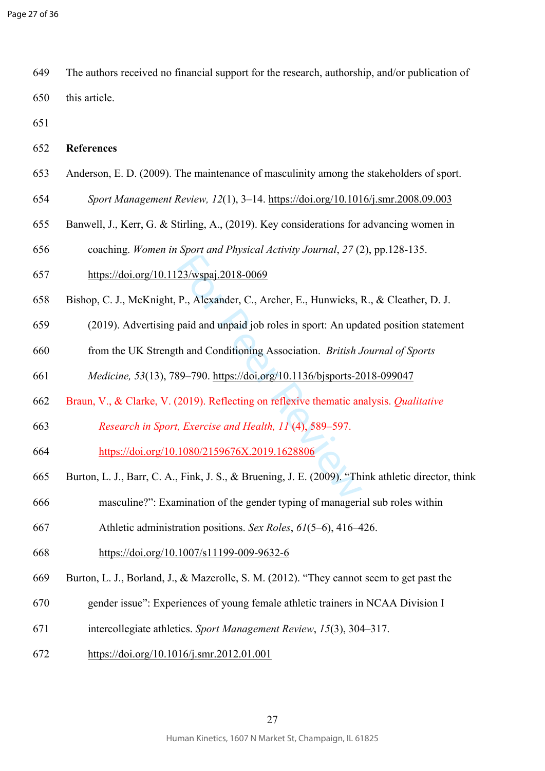649 The authors received no financial support for the research, authorship, and/or publication of 650 this article.

651

- 653 Anderson, E. D. (2009). The maintenance of masculinity among the stakeholders of sport.
- 654 *Sport Management Review, 12*(1), 3–14.<https://doi.org/10.1016/j.smr.2008.09.003>
- 655 Banwell, J., Kerr, G. & Stirling, A., (2019). Key considerations for advancing women in
- 656 coaching. *Women in Sport and Physical Activity Journal*, *27* (2), pp.128-135.
- 657<https://doi.org/10.1123/wspaj.2018-0069>
- 658 Bishop, C. J., McKnight, P., Alexander, C., Archer, E., Hunwicks, R., & Cleather, D. J.
- 659 (2019). Advertising paid and unpaid job roles in sport: An updated position statement
- 660 from the UK Strength and Conditioning Association. *British Journal of Sports*
- 661 *Medicine, 53*(13), 789–790. <https://doi.org/10.1136/bjsports-2018-099047>
- 662 Braun, V., & Clarke, V. (2019). Reflecting on reflexive thematic analysis. *Qualitative*
- 663 *Research in Sport, Exercise and Health, 11* (4), 589–597.
- 664 <https://doi.org/10.1080/2159676X.2019.1628806>
- 23/wspaj.2018-0069<br>
P., Alexander, C., Archer, E., Hunwicks, 1<br>
paid and unpaid job roles in sport: An upd<br>
th and Conditioning Association. *British J*<br>
89–790. https://doi.org/10.1136/bjsports-20<br>
2019). Reflecting on r 665 Burton, L. J., Barr, C. A., Fink, J. S., & Bruening, J. E. (2009). "Think athletic director, think
- 666 masculine?": Examination of the gender typing of managerial sub roles within
- 667 Athletic administration positions. *Sex Roles*, *61*(5–6), 416–426.
- 668<https://doi.org/10.1007/s11199-009-9632-6>
- 669 Burton, L. J., Borland, J., & Mazerolle, S. M. (2012). "They cannot seem to get past the
- 670 gender issue": Experiences of young female athletic trainers in NCAA Division I
- 671 intercollegiate athletics. *Sport Management Review*, *15*(3), 304–317.
- 672<https://doi.org/10.1016/j.smr.2012.01.001>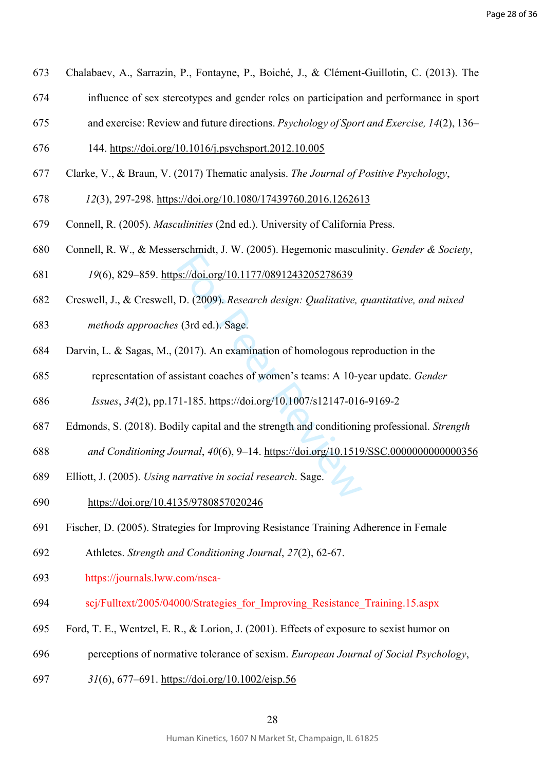- 673 Chalabaev, A., Sarrazin, P., Fontayne, P., Boiché, J., & Clément-Guillotin, C. (2013). The
- 674 influence of sex stereotypes and gender roles on participation and performance in sport
- 675 and exercise: Review and future directions. *Psychology of Sport and Exercise, 14*(2), 136–
- 676 144.<https://doi.org/10.1016/j.psychsport.2012.10.005>
- 677 Clarke, V., & Braun, V. (2017) Thematic analysis. *The Journal of Positive Psychology*,
- 678 *12*(3), 297-298.<https://doi.org/10.1080/17439760.2016.1262613>
- 679 Connell, R. (2005). *Masculinities* (2nd ed.). University of California Press.
- 680 Connell, R. W., & Messerschmidt, J. W. (2005). Hegemonic masculinity. *Gender & Society*,
- 681 *19*(6), 829–859. https://doi.org/10.1177/0891243205278639
- S://doi.org/10.1177/0891243205278639<br>D. (2009). *Research design: Qualitative*, or<br>(3rd ed.). Sage.<br>2017). An examination of homologous repsistant coaches of women's teams: A 10-y<br><sup>11-185</sup>. https://doi.org/10.1007/s12147-682 Creswell, J., & Creswell, D. (2009). *Research design: Qualitative, quantitative, and mixed*
- 683 *methods approaches* (3rd ed.). Sage.
- 684 Darvin, L. & Sagas, M., (2017). An examination of homologous reproduction in the
- 685 representation of assistant coaches of women's teams: A 10-year update. *Gender*
- 686 *Issues*, *34*(2), pp.171-185. https://doi.org/10.1007/s12147-016-9169-2
- 687 Edmonds, S. (2018). Bodily capital and the strength and conditioning professional. *Strength*
- 688 *and Conditioning Journal*, *40*(6), 9–14. <https://doi.org/10.1519/SSC.0000000000000356>
- 689 Elliott, J. (2005). *Using narrative in social research*. Sage.
- 690<https://doi.org/10.4135/9780857020246>
- 691 Fischer, D. (2005). Strategies for Improving Resistance Training Adherence in Female
- 692 Athletes. *Strength and Conditioning Journal*, *27*(2), 62-67.
- 693 https://journals.lww.com/nsca-
- 694 scj/Fulltext/2005/04000/Strategies\_for\_Improving\_Resistance\_Training.15.aspx
- 695 Ford, T. E., Wentzel, E. R., & Lorion, J. (2001). Effects of exposure to sexist humor on
- 696 perceptions of normative tolerance of sexism. *European Journal of Social Psychology*,
- 697 *31*(6), 677–691. <https://doi.org/10.1002/ejsp.56>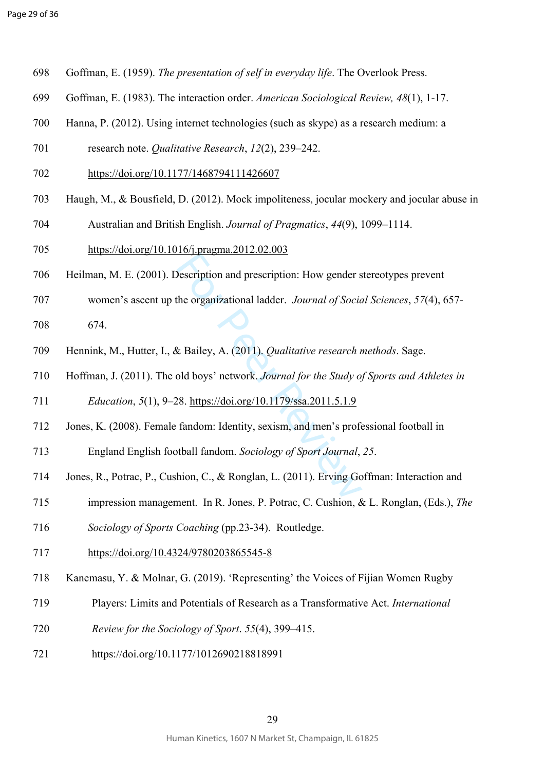- 698 Goffman, E. (1959). *The presentation of self in everyday life*. The Overlook Press.
- 699 Goffman, E. (1983). The interaction order. *American Sociological Review, 48*(1), 1-17.
- 700 Hanna, P. (2012). Using internet technologies (such as skype) as a research medium: a
- 701 research note. *Qualitative Research*, *12*(2), 239–242.
- 702<https://doi.org/10.1177/1468794111426607>
- 703 Haugh, M., & Bousfield, D. (2012). Mock impoliteness, jocular mockery and jocular abuse in
- 704 Australian and British English. *Journal of Pragmatics*, *44*(9), 1099–1114.
- 705<https://doi.org/10.1016/j.pragma.2012.02.003>
- 706 Heilman, M. E. (2001). Description and prescription: How gender stereotypes prevent
- 707 women's ascent up the organizational ladder. *Journal of Social Sciences*, *57*(4), 657-
- 708 674.
- **Example 2018**<br>
Description and prescription: How gender s<br>
the organizational ladder. *Journal of Socia*<br>
& Bailey, A. (2011). *Qualitative research r*<br>
old boys' network. *Journal for the Study of*<br>
28. https://doi.org/1 709 Hennink, M., Hutter, I., & Bailey, A. (2011). *Qualitative research methods*. Sage.
- 710 Hoffman, J. (2011). The old boys' network. *Journal for the Study of Sports and Athletes in*
- 711 *Education*, *5*(1), 9–28. https://doi.org/10.1179/ssa.2011.5.1.9
- 712 Jones, K. (2008). Female fandom: Identity, sexism, and men's professional football in
- 713 England English football fandom. *Sociology of Sport Journal*, *25* .
- 714 Jones, R., Potrac, P., Cushion, C., & Ronglan, L. (2011). Erving Goffman: Interaction and
- 715 impression management. In R. Jones, P. Potrac, C. Cushion, & L. Ronglan, (Eds.), *The*
- 716 *Sociology of Sports Coaching* (pp.23-34). Routledge.
- 717<https://doi.org/10.4324/9780203865545-8>
- 718 Kanemasu, Y. & Molnar, G. (2019). 'Representing' the Voices of Fijian Women Rugby
- 719 Players: Limits and Potentials of Research as a Transformative Act. *International*
- 720 *Review for the Sociology of Sport*. *55*(4), 399–415.
- 721 https://doi.org/10.1177/1012690218818991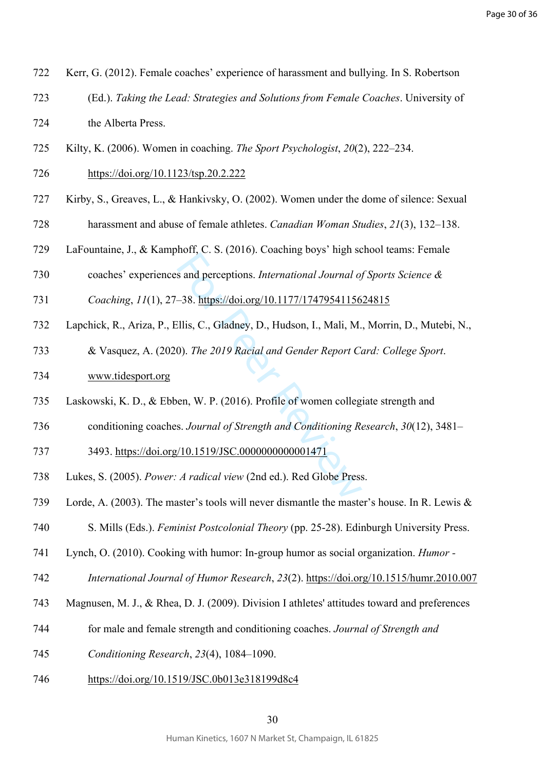- 722 Kerr, G. (2012). Female coaches' experience of harassment and bullying. In S. Robertson 723 (Ed.). *Taking the Lead: Strategies and Solutions from Female Coaches*. University of
- 724 the Alberta Press.
- 725 Kilty, K. (2006). Women in coaching. *The Sport Psychologist*, *20*(2), 222–234.
- 726<https://doi.org/10.1123/tsp.20.2.222>
- 727 Kirby, S., Greaves, L., & Hankivsky, O. (2002). Women under the dome of silence: Sexual
- 728 harassment and abuse of female athletes. *Canadian Woman Studies*, *21*(3), 132–138.
- 729 LaFountaine, J., & Kamphoff, C. S. (2016). Coaching boys' high school teams: Female
- 730 coaches' experiences and perceptions. *International Journal of Sports Science &*
- 731 *Coaching*, *11*(1), 27–38. https://doi.org/10.1177/1747954115624815
- 732 Lapchick, R., Ariza, P., Ellis, C., Gladney, D., Hudson, I., Mali, M., Morrin, D., Mutebi, N.,
- n[or](https://doi.org/10.1177/1747954115624815)i, et st. (2010). *International Journal of*<br>38. https://doi.org/10.1177/17479541156<br>2015, C., Gladney, D., Hudson, I., Mali, M.<br>2019 Racial and Gender Report Co.<br>2019 Racial and Gender Report Co.<br>2019 Racial and Gender 733 & Vasquez, A. (2020). *The 2019 Racial and Gender Report Card: College Sport*.
- 734 [www.tidesport.org](http://www.tidesport.org)
- 735 Laskowski, K. D., & Ebben, W. P. (2016). Profile of women collegiate strength and
- 736 conditioning coaches. *Journal of Strength and Conditioning Research*, *30*(12), 3481–
- 737 3493. <https://doi.org/10.1519/JSC.0000000000001471>
- 738 Lukes, S. (2005). *Power: A radical view* (2nd ed.). Red Globe Press.
- 739 Lorde, A. (2003). The master's tools will never dismantle the master's house. In R. Lewis &
- 740 S. Mills (Eds.). *Feminist Postcolonial Theory* (pp. 25-28). Edinburgh University Press.
- 741 Lynch, O. (2010). Cooking with humor: In-group humor as social organization. *Humor*
- 742 *International Journal of Humor Research*, *23*(2). <https://doi.org/10.1515/humr.2010.007>
- 743 Magnusen, M. J., & Rhea, D. J. (2009). Division I athletes' attitudes toward and preferences
- 744 for male and female strength and conditioning coaches. *Journal of Strength and*
- 745 *Conditioning Research*, *23*(4), 1084–1090.
- 746<https://doi.org/10.1519/JSC.0b013e318199d8c4>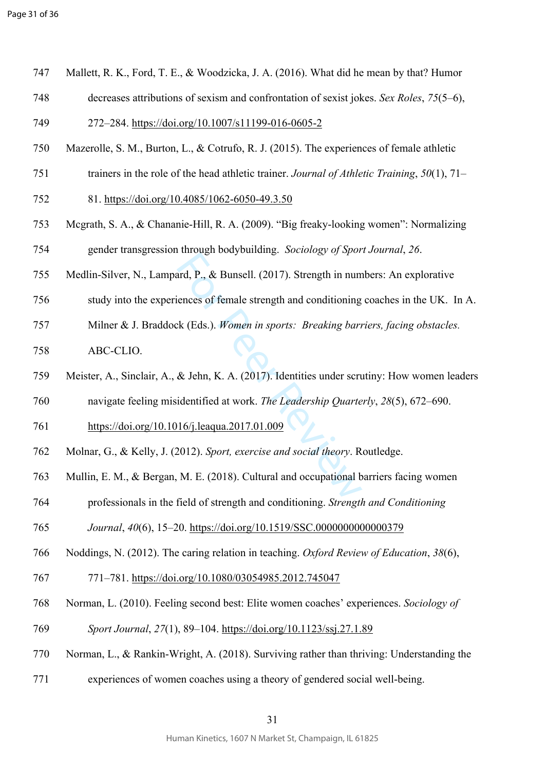| 747 |  |  | Mallett, R. K., Ford, T. E., & Woodzicka, J. A. (2016). What did he mean by that? Humor |  |  |  |  |
|-----|--|--|-----------------------------------------------------------------------------------------|--|--|--|--|
|     |  |  |                                                                                         |  |  |  |  |

748 decreases attributions of sexism and confrontation of sexist jokes. *Sex Roles*, *75*(5–6),

749 272–284. <https://doi.org/10.1007/s11199-016-0605-2>

- 750 Mazerolle, S. M., Burton, L., & Cotrufo, R. J. (2015). The experiences of female athletic
- 751 trainers in the role of the head athletic trainer. *Journal of Athletic Training*, *50*(1), 71–
- 752 81. <https://doi.org/10.4085/1062-6050-49.3.50>
- 753 Mcgrath, S. A., & Chananie-Hill, R. A. (2009). "Big freaky-looking women": Normalizing 754 gender transgression through bodybuilding. *Sociology of Sport Journal*, *26* .
- 755 Medlin-Silver, N., Lampard, P., & Bunsell. (2017). Strength in numbers: An explorative
- 756 study into the experiences of female strength and conditioning coaches in the UK. In A.
- and, P., & Bunsell. (2017). Strength in num<br>iences of female strength and conditioning<br>the (Eds.). Women in sports: Breaking barn<br>& Jehn, K. A. (2017). Identities under scru<br>identified at work. The Leadership Quarte<br>16/j.l 757 Milner & J. Braddock (Eds.). *Women in sports: Breaking barriers, facing obstacles.*
- 758 ABC-CLIO.
- 759 Meister, A., Sinclair, A., & Jehn, K. A. (2017). Identities under scrutiny: How women leaders
- 760 navigate feeling misidentified at work. *The Leadership Quarterly*, *28*(5), 672–690.
- 761<https://doi.org/10.1016/j.leaqua.2017.01.009>
- 762 Molnar, G., & Kelly, J. (2012). *Sport, exercise and social theory*. Routledge.
- 763 Mullin, E. M., & Bergan, M. E. (2018). Cultural and occupational barriers facing women
- 764 professionals in the field of strength and conditioning. *Strength and Conditioning*
- 765 *Journal*, *40*(6), 15–20.<https://doi.org/10.1519/SSC.0000000000000379>
- 766 Noddings, N. (2012). The caring relation in teaching. *Oxford Review of Education*, *38*(6),
- 767 771–781. <https://doi.org/10.1080/03054985.2012.745047>
- 768 Norman, L. (2010). Feeling second best: Elite women coaches' experiences. *Sociology of*
- 769 *Sport Journal*, *27*(1), 89–104.<https://doi.org/10.1123/ssj.27.1.89>
- 770 Norman, L., & Rankin-Wright, A. (2018). Surviving rather than thriving: Understanding the
- 771 experiences of women coaches using a theory of gendered social well-being.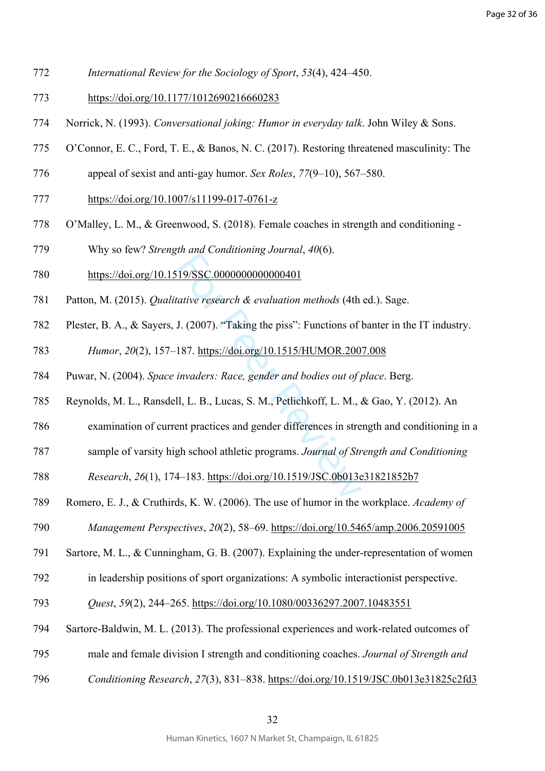- 772 *International Review for the Sociology of Sport*, *53*(4), 424–450.
- 773<https://doi.org/10.1177/1012690216660283>
- 774 Norrick, N. (1993). *Conversational joking: Humor in everyday talk*. John Wiley & Sons.
- 775 O'Connor, E. C., Ford, T. E., & Banos, N. C. (2017). Restoring threatened masculinity: The
- 776 appeal of sexist and anti-gay humor. *Sex Roles*, *77*(9–10), 567–580.
- 777<https://doi.org/10.1007/s11199-017-0761-z>
- 778 O'Malley, L. M., & Greenwood, S. (2018). Female coaches in strength and conditioning -
- 779 Why so few? *Strength and Conditioning Journal*, *40*(6).
- 780<https://doi.org/10.1519/SSC.0000000000000401>
- 781 Patton, M. (2015). *Qualitative research & evaluation methods* (4th ed.). Sage.
- 782 Plester, B. A., & Sayers, J. (2007). "Taking the piss": Functions of banter in the IT industry.
- 19/SSC.00000000000000401<br>
19/SSC.0000000000000401<br>
dative research & evaluation methods (4th<br>
J. (2007). "Taking the piss": Functions of<br>
187. https://doi.org/10.1515/HUMOR.200<br>
invaders: Race, gender and bodies out of  $\$ 783 *Humor*, *20*(2), 157–187. <https://doi.org/10.1515/HUMOR.2007.008>
- 784 Puwar, N. (2004). *Space invaders: Race, gender and bodies out of place*. Berg.
- 785 Reynolds, M. L., Ransdell, L. B., Lucas, S. M., Petlichkoff, L. M., & Gao, Y. (2012). An
- 786 examination of current practices and gender differences in strength and conditioning in a
- 787 sample of varsity high school athletic programs. *Journal of Strength and Conditioning*

788 *Research*, *26*(1), 174–183. <https://doi.org/10.1519/JSC.0b013e31821852b7>

- 789 Romero, E. J., & Cruthirds, K. W. (2006). The use of humor in the workplace. *Academy of*
- 790 *Management Perspectives*, *20*(2), 58–69.<https://doi.org/10.5465/amp.2006.20591005>
- 791 Sartore, M. L., & Cunningham, G. B. (2007). Explaining the under-representation of women
- 792 in leadership positions of sport organizations: A symbolic interactionist perspective.
- 793 *Quest*, *59*(2), 244–265. <https://doi.org/10.1080/00336297.2007.10483551>
- 794 Sartore-Baldwin, M. L. (2013). The professional experiences and work-related outcomes of
- 795 male and female division I strength and conditioning coaches. *Journal of Strength and*
- 796 *Conditioning Research*, *27*(3), 831–838. <https://doi.org/10.1519/JSC.0b013e31825c2fd3>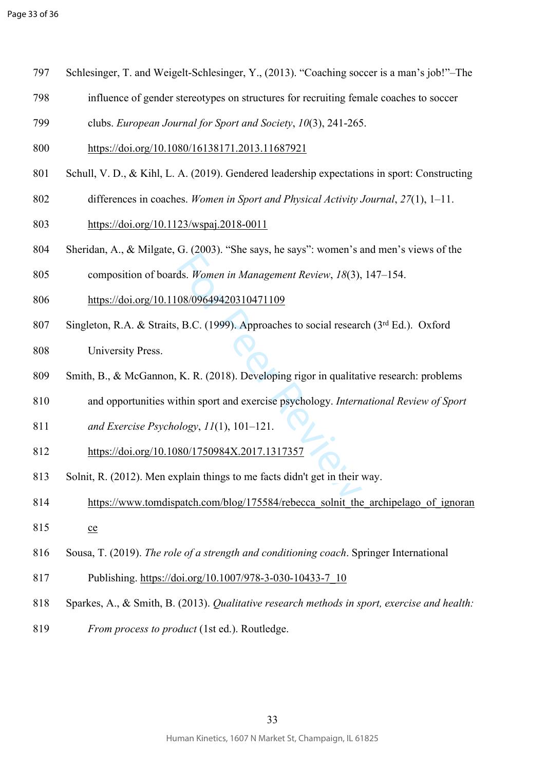- 797 Schlesinger, T. and Weigelt-Schlesinger, Y., (2013). "Coaching soccer is a man's job!"–The
- 798 influence of gender stereotypes on structures for recruiting female coaches to soccer
- 799 clubs. *European Journal for Sport and Society*, *10*(3), 241-265.
- 800<https://doi.org/10.1080/16138171.2013.11687921>
- 801 Schull, V. D., & Kihl, L. A. (2019). Gendered leadership expectations in sport: Constructing
- 802 differences in coaches. *Women in Sport and Physical Activity Journal*, *27*(1), 1–11.
- 803<https://doi.org/10.1123/wspaj.2018-0011>
- 804 Sheridan, A., & Milgate, G. (2003). "She says, he says": women's and men's views of the
- 805 composition of boards. *Women in Management Review*, *18*(3), 147–154.
- 806<https://doi.org/10.1108/09649420310471109>
- ds. *Women in Management Review*, 18(3),<br>08/09649420310471109<br>B.C. (1999). Approaches to social research<br>K. R. (2018). Developing rigor in qualitat<br>ithin sport and exercise psychology. *Intern<br>plogy*, 11(1), 101–121.<br>80/17 807 Singleton, R.A. & Straits, B.C. (1999). Approaches to social research (3rd Ed.). Oxford
- 808 University Press.
- 809 Smith, B., & McGannon, K. R. (2018). Developing rigor in qualitative research: problems
- 810 and opportunities within sport and exercise psychology. *International Review of Sport*
- 811 *and Exercise Psychology*, *11*(1), 101–121.
- 812<https://doi.org/10.1080/1750984X.2017.1317357>
- 813 Solnit, R. (2012). Men explain things to me facts didn't get in their way.
- 814 https://www.tomdispatch.com/blog/175584/rebecca solnit the archipelago of ignoran
- 815 [ce](https://www.tomdispatch.com/blog/175584/rebecca_solnit_the_archipelago_of_ignorance)
- 816 Sousa, T. (2019). *The role of a strength and conditioning coach*. Springer International
- 817 Publishing. [https://doi.org/10.1007/978-3-030-10433-7\\_10](https://doi.org/10.1007/978-3-030-10433-7_10)
- 818 Sparkes, A., & Smith, B. (2013). *Qualitative research methods in sport, exercise and health:*
- 819 *From process to product* (1st ed.). Routledge.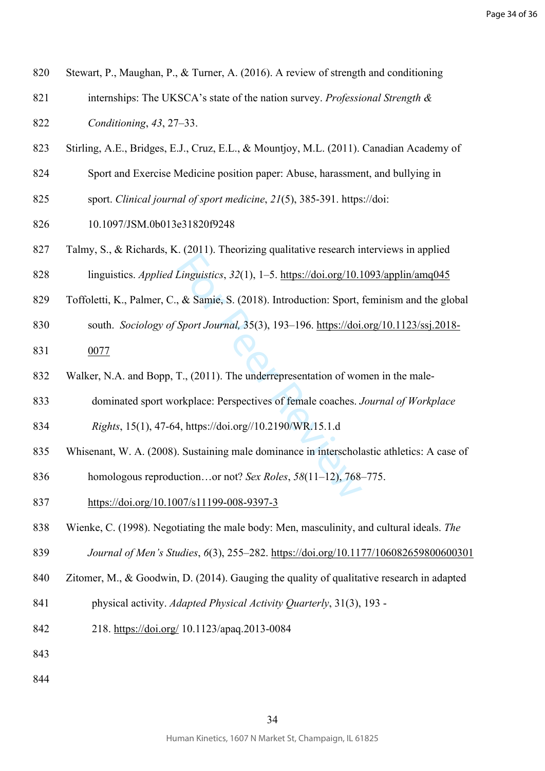- 820 Stewart, P., Maughan, P., & Turner, A. (2016). A review of strength and conditioning
- 821 internships: The UKSCA's state of the nation survey. *Professional Strength &*

822 *Conditioning*, *43*, 27–33.

- 823 Stirling, A.E., Bridges, E.J., Cruz, E.L., & Mountjoy, M.L. (2011). Canadian Academy of
- 824 Sport and Exercise Medicine position paper: Abuse, harassment, and bullying in
- 825 sport. *Clinical journal of sport medicine*, *21*(5), 385-391. https://doi:
- 826 10.1097/JSM.0b013e31820f9248
- 827 Talmy, S., & Richards, K. (2011). Theorizing qualitative research interviews in applied
- 828 linguistics. *Applied Linguistics*, *32*(1), 1–5.<https://doi.org/10.1093/applin/amq045>
- 829 Toffoletti, K., Palmer, C., & Samie, S. (2018). Introduction: Sport, feminism and the global
- 830 south. *Sociology of Sport Journal,* 35(3), 193–196. [https://doi.org/10.1123/ssj.2018-](https://doi.org/10.1123/ssj.2018-0077)
- 831 [0077](https://doi.org/10.1123/ssj.2018-0077)
- 832 Walker, N.A. and Bopp, T., (2011). The underrepresentation of women in the male-
- 833 dominated sport workplace: Perspectives of female coaches. *Journal of Workplace*
- 834 *Rights*, 15(1), 47-64, https://doi.org//10.2190/WR.15.1.d
- 835 Whisenant, W. A. (2008). Sustaining male dominance in interscholastic athletics: A case of
- *Einguistics, 32(1), 1–5.* https://doi.org/10.1<br> *Kinguistics, 32(1), 1–5.* https://doi.org/10.1<br> *Sport Journal, 35(3), 193–196. https://doi.*<br> *T., (2011).* The underrepresentation of workplace: Perspectives of female c 836 homologous reproduction…or not? *Sex Roles*, *58*(11–12), 768–775.
- 837<https://doi.org/10.1007/s11199-008-9397-3>
- 838 Wienke, C. (1998). Negotiating the male body: Men, masculinity, and cultural ideals. *The*
- 839 *Journal of Men's Studies*, *6*(3), 255–282.<https://doi.org/10.1177/106082659800600301>
- 840 Zitomer, M., & Goodwin, D. (2014). Gauging the quality of qualitative research in adapted
- 841 physical activity. *Adapted Physical Activity Quarterly*, 31(3), 193 -
- 842 218.<https://doi.org/> 10.1123/apaq.2013-0084
- 843
- 844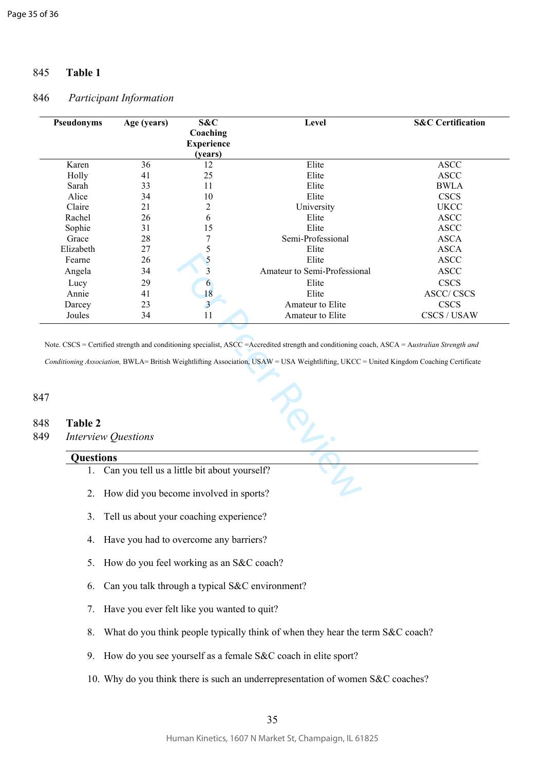## 845 **Table 1**

#### 846 *Participant Information*

| Pseudonyms<br>Age (years)  |                                              | S&C<br>Coaching<br><b>Experience</b><br>(years) | Level                                                                                                                                                                                                                                                                                     | <b>S&amp;C</b> Certification |  |  |
|----------------------------|----------------------------------------------|-------------------------------------------------|-------------------------------------------------------------------------------------------------------------------------------------------------------------------------------------------------------------------------------------------------------------------------------------------|------------------------------|--|--|
| Karen                      | 36                                           | 12                                              | Elite                                                                                                                                                                                                                                                                                     | <b>ASCC</b>                  |  |  |
| Holly                      | 41                                           | 25                                              | Elite                                                                                                                                                                                                                                                                                     | <b>ASCC</b>                  |  |  |
| Sarah                      | 33                                           | 11                                              | Elite                                                                                                                                                                                                                                                                                     | <b>BWLA</b>                  |  |  |
| Alice                      | 34                                           | 10                                              | Elite                                                                                                                                                                                                                                                                                     | <b>CSCS</b>                  |  |  |
| Claire                     | 21                                           | 2                                               | University                                                                                                                                                                                                                                                                                | <b>UKCC</b>                  |  |  |
| Rachel                     | 26                                           | 6                                               | Elite                                                                                                                                                                                                                                                                                     | <b>ASCC</b>                  |  |  |
| Sophie                     | 31                                           | 15                                              | Elite                                                                                                                                                                                                                                                                                     | <b>ASCC</b>                  |  |  |
| Grace                      | 28                                           | 7                                               | Semi-Professional                                                                                                                                                                                                                                                                         | <b>ASCA</b>                  |  |  |
| Elizabeth                  | 27                                           | 5                                               | Elite                                                                                                                                                                                                                                                                                     | <b>ASCA</b>                  |  |  |
| Fearne                     | 26                                           | 5                                               | Elite                                                                                                                                                                                                                                                                                     | <b>ASCC</b>                  |  |  |
| Angela                     | 34                                           | $\overline{\mathbf{3}}$                         | Amateur to Semi-Professional                                                                                                                                                                                                                                                              | <b>ASCC</b>                  |  |  |
| Lucy                       | 29                                           | 6                                               | Elite                                                                                                                                                                                                                                                                                     | <b>CSCS</b>                  |  |  |
| Annie                      | 41                                           | 18                                              | Elite                                                                                                                                                                                                                                                                                     | <b>ASCC/CSCS</b>             |  |  |
| Darcey                     | 23                                           | $\overline{3}$                                  | Amateur to Elite                                                                                                                                                                                                                                                                          | <b>CSCS</b>                  |  |  |
| Joules                     | 34                                           | 11                                              | Amateur to Elite                                                                                                                                                                                                                                                                          | CSCS / USAW                  |  |  |
| <b>Table 2</b>             |                                              |                                                 | Note. CSCS = Certified strength and conditioning specialist, ASCC = Accredited strength and conditioning coach, ASCA = Australian Strength and<br>Conditioning Association, BWLA= British Weightlifting Association, USAW = USA Weightlifting, UKCC = United Kingdom Coaching Certificate |                              |  |  |
| <b>Interview Questions</b> |                                              |                                                 |                                                                                                                                                                                                                                                                                           |                              |  |  |
| <b>Questions</b>           |                                              |                                                 |                                                                                                                                                                                                                                                                                           |                              |  |  |
| 1.                         | Can you tell us a little bit about yourself? |                                                 |                                                                                                                                                                                                                                                                                           |                              |  |  |

847

#### 848 **Table 2**

#### **Questions**

- 1. Can you tell us a little bit about yourself?
- 2. How did you become involved in sports?
- 3. Tell us about your coaching experience?
- 4. Have you had to overcome any barriers?
- 5. How do you feel working as an S&C coach?
- 6. Can you talk through a typical S&C environment?
- 7. Have you ever felt like you wanted to quit?
- 8. What do you think people typically think of when they hear the term S&C coach?
- 9. How do you see yourself as a female S&C coach in elite sport?
- 10. Why do you think there is such an underrepresentation of women S&C coaches?